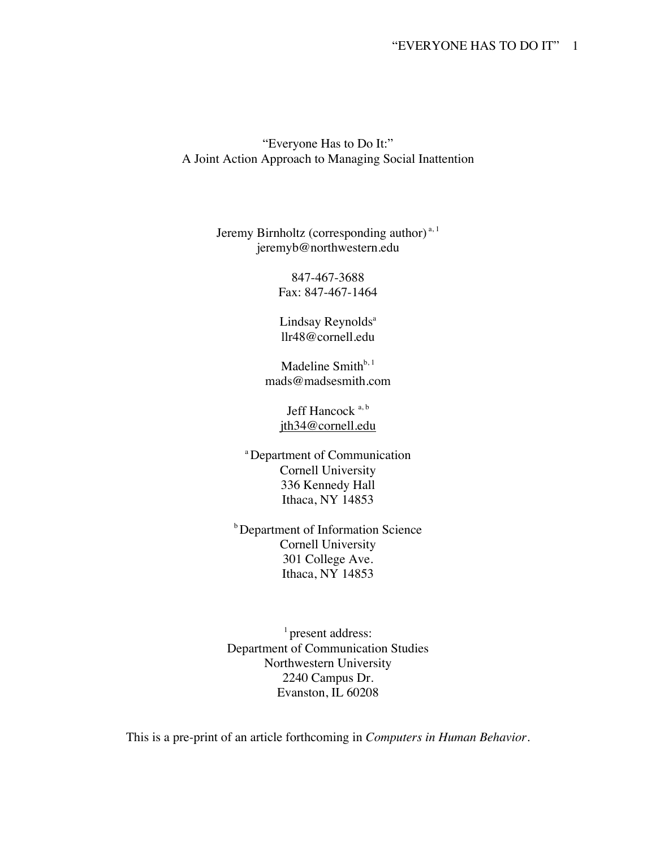## "EVERYONE HAS TO DO IT" 1

# "Everyone Has to Do It:" A Joint Action Approach to Managing Social Inattention

Jeremy Birnholtz (corresponding author) $a, 1$ jeremyb@northwestern.edu

> 847-467-3688 Fax: 847-467-1464

Lindsay Reynolds<sup>a</sup> llr48@cornell.edu

Madeline Smith $b, 1$ mads@madsesmith.com

> Jeff Hancock<sup>a, b</sup> jth34@cornell.edu

a Department of Communication Cornell University 336 Kennedy Hall Ithaca, NY 14853

**b** Department of Information Science Cornell University 301 College Ave. Ithaca, NY 14853

<sup>1</sup> present address: Department of Communication Studies Northwestern University 2240 Campus Dr. Evanston, IL 60208

This is a pre-print of an article forthcoming in *Computers in Human Behavior*.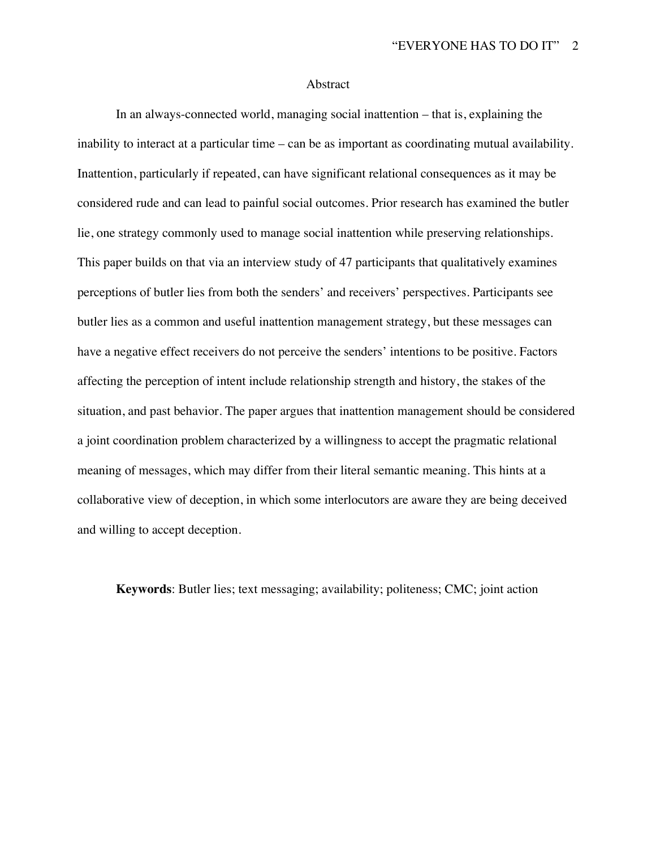#### Abstract

In an always-connected world, managing social inattention – that is, explaining the inability to interact at a particular time – can be as important as coordinating mutual availability. Inattention, particularly if repeated, can have significant relational consequences as it may be considered rude and can lead to painful social outcomes. Prior research has examined the butler lie, one strategy commonly used to manage social inattention while preserving relationships. This paper builds on that via an interview study of 47 participants that qualitatively examines perceptions of butler lies from both the senders' and receivers' perspectives. Participants see butler lies as a common and useful inattention management strategy, but these messages can have a negative effect receivers do not perceive the senders' intentions to be positive. Factors affecting the perception of intent include relationship strength and history, the stakes of the situation, and past behavior. The paper argues that inattention management should be considered a joint coordination problem characterized by a willingness to accept the pragmatic relational meaning of messages, which may differ from their literal semantic meaning. This hints at a collaborative view of deception, in which some interlocutors are aware they are being deceived and willing to accept deception.

**Keywords**: Butler lies; text messaging; availability; politeness; CMC; joint action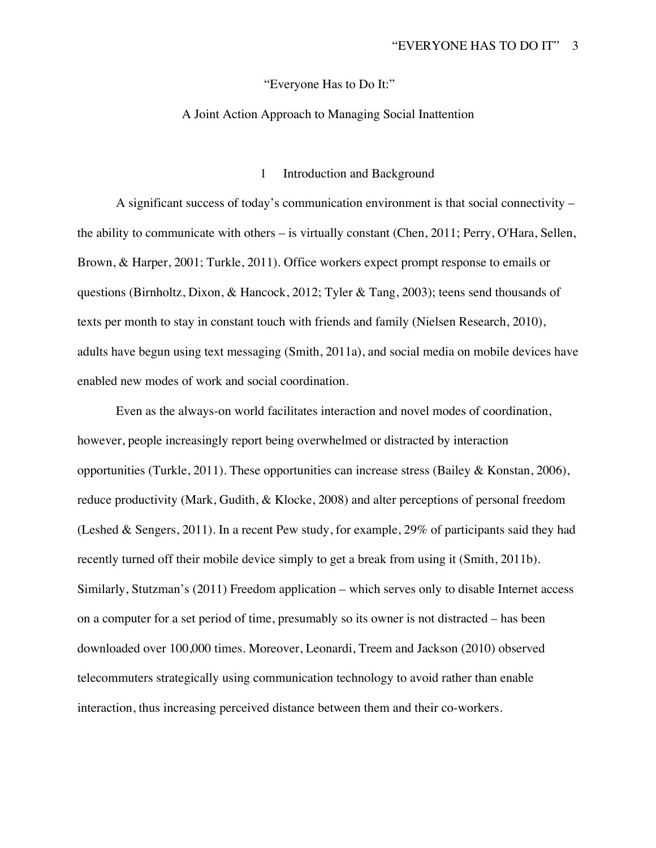## "Everyone Has to Do It:"

# A Joint Action Approach to Managing Social Inattention

### 1 Introduction and Background

A significant success of today's communication environment is that social connectivity – the ability to communicate with others – is virtually constant (Chen, 2011; Perry, O'Hara, Sellen, Brown, & Harper, 2001; Turkle, 2011). Office workers expect prompt response to emails or questions (Birnholtz, Dixon, & Hancock, 2012; Tyler & Tang, 2003); teens send thousands of texts per month to stay in constant touch with friends and family (Nielsen Research, 2010), adults have begun using text messaging (Smith, 2011a), and social media on mobile devices have enabled new modes of work and social coordination.

Even as the always-on world facilitates interaction and novel modes of coordination, however, people increasingly report being overwhelmed or distracted by interaction opportunities (Turkle, 2011). These opportunities can increase stress (Bailey & Konstan, 2006), reduce productivity (Mark, Gudith, & Klocke, 2008) and alter perceptions of personal freedom (Leshed & Sengers, 2011). In a recent Pew study, for example, 29% of participants said they had recently turned off their mobile device simply to get a break from using it (Smith, 2011b). Similarly, Stutzman's (2011) Freedom application – which serves only to disable Internet access on a computer for a set period of time, presumably so its owner is not distracted – has been downloaded over 100,000 times. Moreover, Leonardi, Treem and Jackson (2010) observed telecommuters strategically using communication technology to avoid rather than enable interaction, thus increasing perceived distance between them and their co-workers.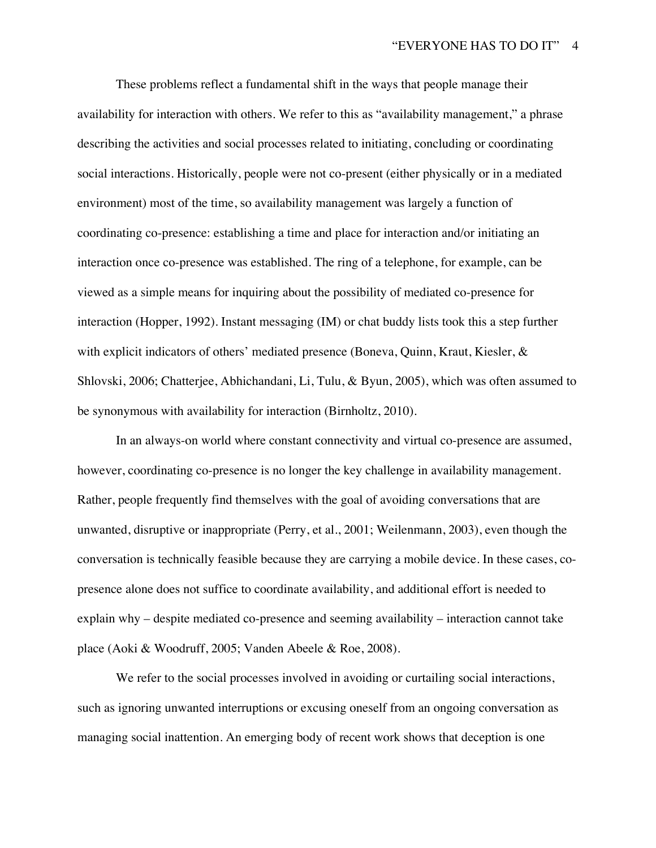These problems reflect a fundamental shift in the ways that people manage their availability for interaction with others. We refer to this as "availability management," a phrase describing the activities and social processes related to initiating, concluding or coordinating social interactions. Historically, people were not co-present (either physically or in a mediated environment) most of the time, so availability management was largely a function of coordinating co-presence: establishing a time and place for interaction and/or initiating an interaction once co-presence was established. The ring of a telephone, for example, can be viewed as a simple means for inquiring about the possibility of mediated co-presence for interaction (Hopper, 1992). Instant messaging (IM) or chat buddy lists took this a step further with explicit indicators of others' mediated presence (Boneva, Quinn, Kraut, Kiesler, & Shlovski, 2006; Chatterjee, Abhichandani, Li, Tulu, & Byun, 2005), which was often assumed to be synonymous with availability for interaction (Birnholtz, 2010).

In an always-on world where constant connectivity and virtual co-presence are assumed, however, coordinating co-presence is no longer the key challenge in availability management. Rather, people frequently find themselves with the goal of avoiding conversations that are unwanted, disruptive or inappropriate (Perry, et al., 2001; Weilenmann, 2003), even though the conversation is technically feasible because they are carrying a mobile device. In these cases, copresence alone does not suffice to coordinate availability, and additional effort is needed to explain why – despite mediated co-presence and seeming availability – interaction cannot take place (Aoki & Woodruff, 2005; Vanden Abeele & Roe, 2008).

We refer to the social processes involved in avoiding or curtailing social interactions, such as ignoring unwanted interruptions or excusing oneself from an ongoing conversation as managing social inattention. An emerging body of recent work shows that deception is one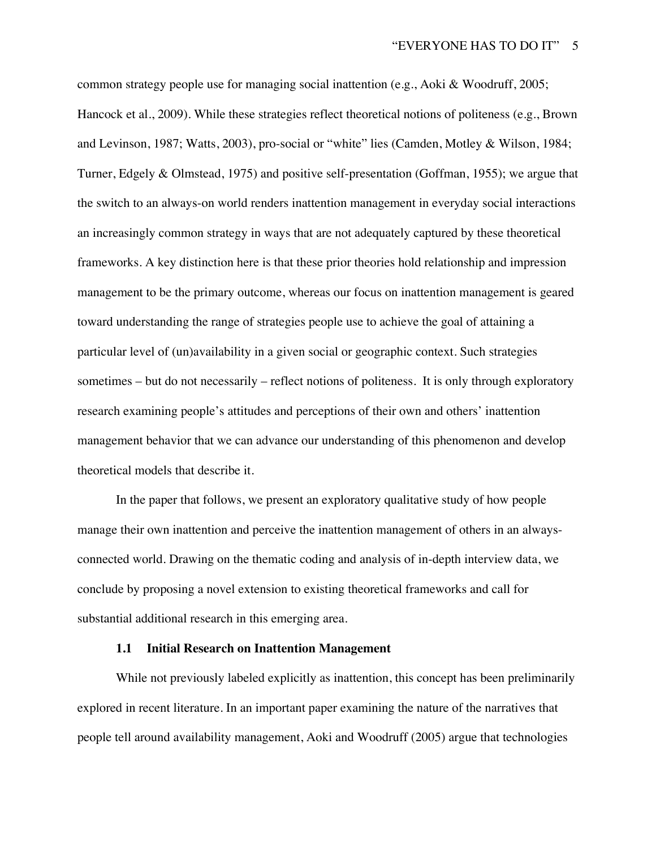common strategy people use for managing social inattention (e.g., Aoki & Woodruff, 2005; Hancock et al., 2009). While these strategies reflect theoretical notions of politeness (e.g., Brown and Levinson, 1987; Watts, 2003), pro-social or "white" lies (Camden, Motley & Wilson, 1984; Turner, Edgely & Olmstead, 1975) and positive self-presentation (Goffman, 1955); we argue that the switch to an always-on world renders inattention management in everyday social interactions an increasingly common strategy in ways that are not adequately captured by these theoretical frameworks. A key distinction here is that these prior theories hold relationship and impression management to be the primary outcome, whereas our focus on inattention management is geared toward understanding the range of strategies people use to achieve the goal of attaining a particular level of (un)availability in a given social or geographic context. Such strategies sometimes – but do not necessarily – reflect notions of politeness. It is only through exploratory research examining people's attitudes and perceptions of their own and others' inattention management behavior that we can advance our understanding of this phenomenon and develop theoretical models that describe it.

In the paper that follows, we present an exploratory qualitative study of how people manage their own inattention and perceive the inattention management of others in an alwaysconnected world. Drawing on the thematic coding and analysis of in-depth interview data, we conclude by proposing a novel extension to existing theoretical frameworks and call for substantial additional research in this emerging area.

## **1.1 Initial Research on Inattention Management**

While not previously labeled explicitly as inattention, this concept has been preliminarily explored in recent literature. In an important paper examining the nature of the narratives that people tell around availability management, Aoki and Woodruff (2005) argue that technologies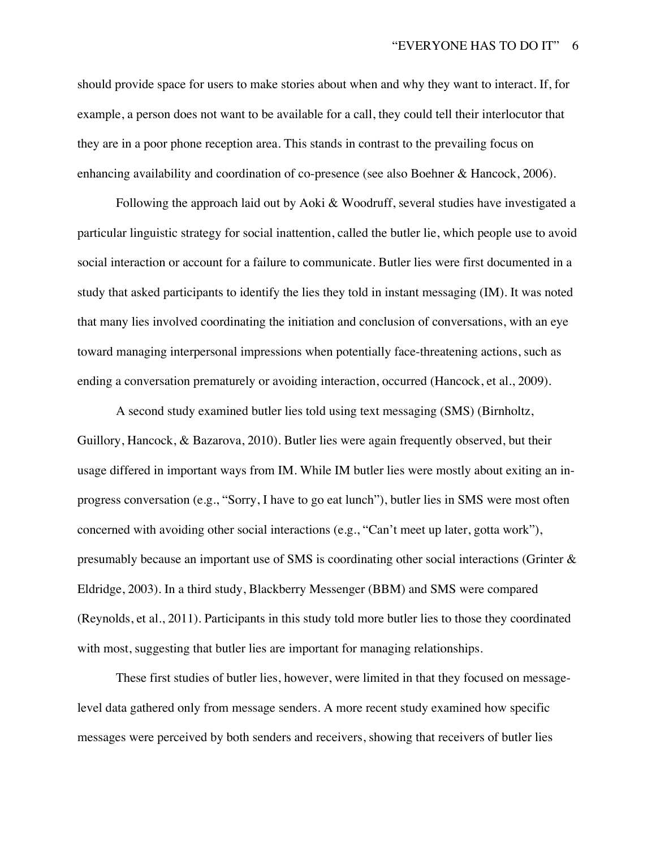should provide space for users to make stories about when and why they want to interact. If, for example, a person does not want to be available for a call, they could tell their interlocutor that they are in a poor phone reception area. This stands in contrast to the prevailing focus on enhancing availability and coordination of co-presence (see also Boehner & Hancock, 2006).

Following the approach laid out by Aoki & Woodruff, several studies have investigated a particular linguistic strategy for social inattention, called the butler lie, which people use to avoid social interaction or account for a failure to communicate. Butler lies were first documented in a study that asked participants to identify the lies they told in instant messaging (IM). It was noted that many lies involved coordinating the initiation and conclusion of conversations, with an eye toward managing interpersonal impressions when potentially face-threatening actions, such as ending a conversation prematurely or avoiding interaction, occurred (Hancock, et al., 2009).

A second study examined butler lies told using text messaging (SMS) (Birnholtz, Guillory, Hancock, & Bazarova, 2010). Butler lies were again frequently observed, but their usage differed in important ways from IM. While IM butler lies were mostly about exiting an inprogress conversation (e.g., "Sorry, I have to go eat lunch"), butler lies in SMS were most often concerned with avoiding other social interactions (e.g., "Can't meet up later, gotta work"), presumably because an important use of SMS is coordinating other social interactions (Grinter & Eldridge, 2003). In a third study, Blackberry Messenger (BBM) and SMS were compared (Reynolds, et al., 2011). Participants in this study told more butler lies to those they coordinated with most, suggesting that butler lies are important for managing relationships.

These first studies of butler lies, however, were limited in that they focused on messagelevel data gathered only from message senders. A more recent study examined how specific messages were perceived by both senders and receivers, showing that receivers of butler lies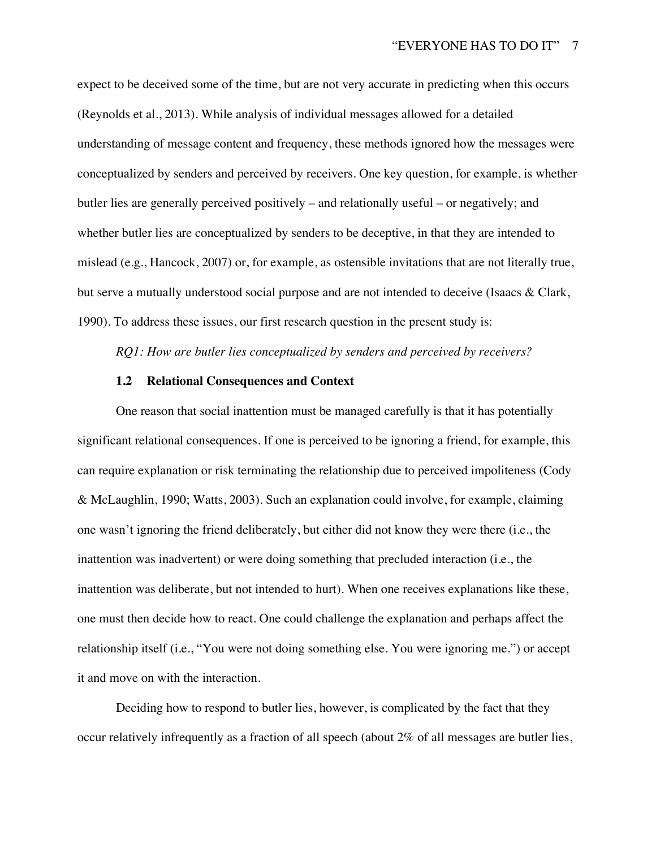expect to be deceived some of the time, but are not very accurate in predicting when this occurs (Reynolds et al., 2013). While analysis of individual messages allowed for a detailed understanding of message content and frequency, these methods ignored how the messages were conceptualized by senders and perceived by receivers. One key question, for example, is whether butler lies are generally perceived positively – and relationally useful – or negatively; and whether butler lies are conceptualized by senders to be deceptive, in that they are intended to mislead (e.g., Hancock, 2007) or, for example, as ostensible invitations that are not literally true, but serve a mutually understood social purpose and are not intended to deceive (Isaacs & Clark, 1990). To address these issues, our first research question in the present study is:

*RQ1: How are butler lies conceptualized by senders and perceived by receivers?*

#### **1.2 Relational Consequences and Context**

One reason that social inattention must be managed carefully is that it has potentially significant relational consequences. If one is perceived to be ignoring a friend, for example, this can require explanation or risk terminating the relationship due to perceived impoliteness (Cody & McLaughlin, 1990; Watts, 2003). Such an explanation could involve, for example, claiming one wasn't ignoring the friend deliberately, but either did not know they were there (i.e., the inattention was inadvertent) or were doing something that precluded interaction (i.e., the inattention was deliberate, but not intended to hurt). When one receives explanations like these, one must then decide how to react. One could challenge the explanation and perhaps affect the relationship itself (i.e., "You were not doing something else. You were ignoring me.") or accept it and move on with the interaction.

Deciding how to respond to butler lies, however, is complicated by the fact that they occur relatively infrequently as a fraction of all speech (about 2% of all messages are butler lies,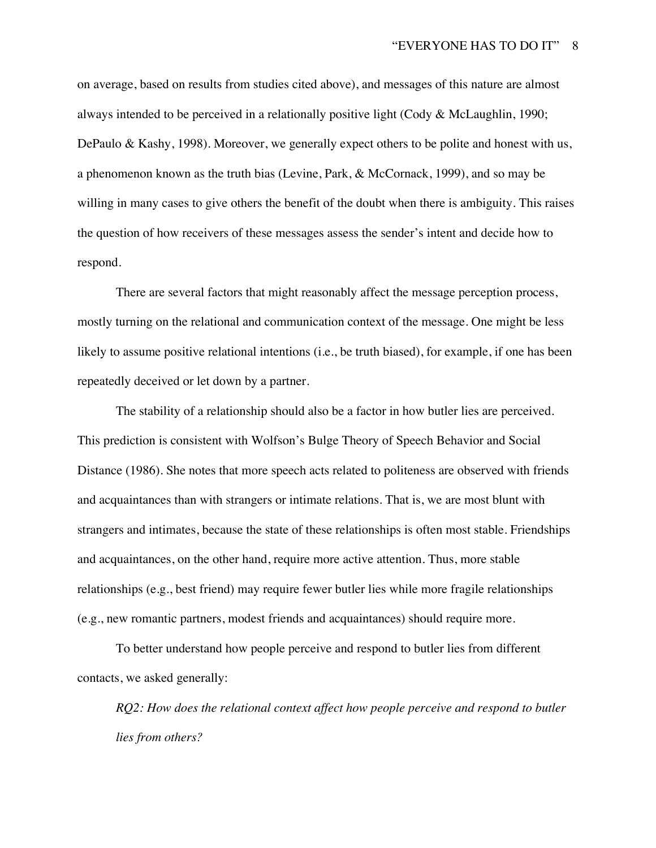on average, based on results from studies cited above), and messages of this nature are almost always intended to be perceived in a relationally positive light (Cody & McLaughlin, 1990; DePaulo & Kashy, 1998). Moreover, we generally expect others to be polite and honest with us, a phenomenon known as the truth bias (Levine, Park, & McCornack, 1999), and so may be willing in many cases to give others the benefit of the doubt when there is ambiguity. This raises the question of how receivers of these messages assess the sender's intent and decide how to respond.

There are several factors that might reasonably affect the message perception process, mostly turning on the relational and communication context of the message. One might be less likely to assume positive relational intentions (i.e., be truth biased), for example, if one has been repeatedly deceived or let down by a partner.

The stability of a relationship should also be a factor in how butler lies are perceived. This prediction is consistent with Wolfson's Bulge Theory of Speech Behavior and Social Distance (1986). She notes that more speech acts related to politeness are observed with friends and acquaintances than with strangers or intimate relations. That is, we are most blunt with strangers and intimates, because the state of these relationships is often most stable. Friendships and acquaintances, on the other hand, require more active attention. Thus, more stable relationships (e.g., best friend) may require fewer butler lies while more fragile relationships (e.g., new romantic partners, modest friends and acquaintances) should require more.

To better understand how people perceive and respond to butler lies from different contacts, we asked generally:

*RQ2: How does the relational context affect how people perceive and respond to butler lies from others?*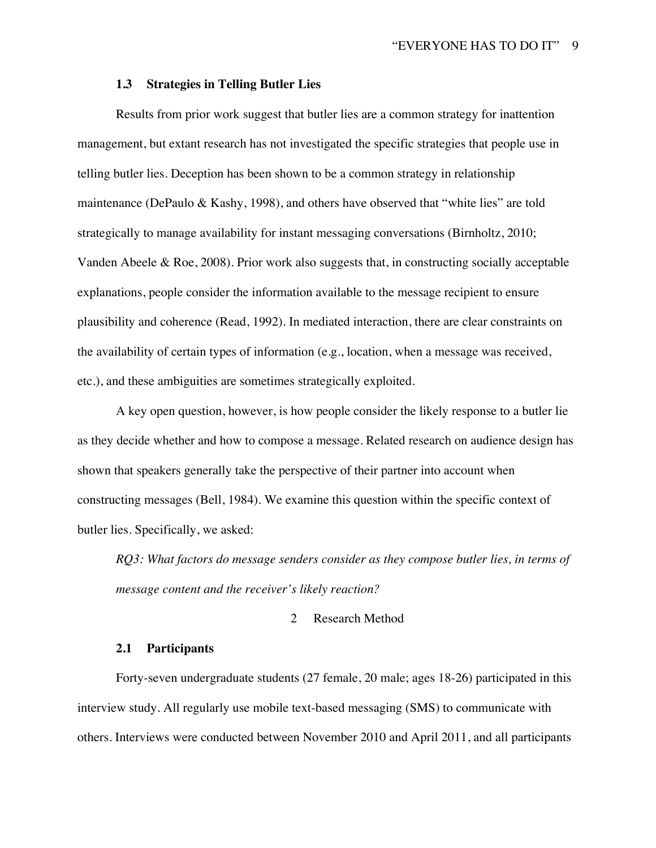### **1.3 Strategies in Telling Butler Lies**

Results from prior work suggest that butler lies are a common strategy for inattention management, but extant research has not investigated the specific strategies that people use in telling butler lies. Deception has been shown to be a common strategy in relationship maintenance (DePaulo & Kashy, 1998), and others have observed that "white lies" are told strategically to manage availability for instant messaging conversations (Birnholtz, 2010; Vanden Abeele & Roe, 2008). Prior work also suggests that, in constructing socially acceptable explanations, people consider the information available to the message recipient to ensure plausibility and coherence (Read, 1992). In mediated interaction, there are clear constraints on the availability of certain types of information (e.g., location, when a message was received, etc.), and these ambiguities are sometimes strategically exploited.

A key open question, however, is how people consider the likely response to a butler lie as they decide whether and how to compose a message. Related research on audience design has shown that speakers generally take the perspective of their partner into account when constructing messages (Bell, 1984). We examine this question within the specific context of butler lies. Specifically, we asked:

*RQ3: What factors do message senders consider as they compose butler lies, in terms of message content and the receiver's likely reaction?*

# 2 Research Method

## **2.1 Participants**

Forty-seven undergraduate students (27 female, 20 male; ages 18-26) participated in this interview study. All regularly use mobile text-based messaging (SMS) to communicate with others. Interviews were conducted between November 2010 and April 2011, and all participants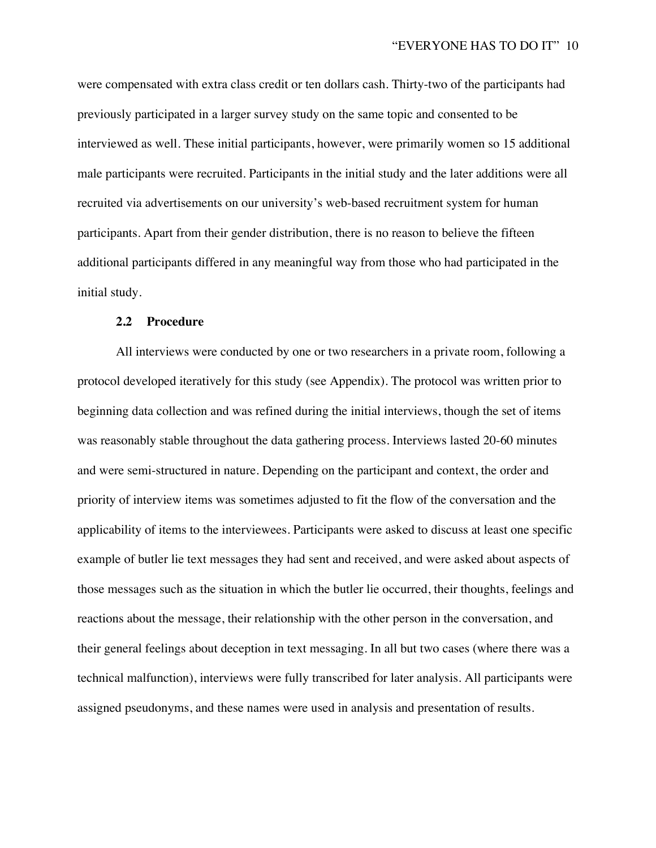were compensated with extra class credit or ten dollars cash. Thirty-two of the participants had previously participated in a larger survey study on the same topic and consented to be interviewed as well. These initial participants, however, were primarily women so 15 additional male participants were recruited. Participants in the initial study and the later additions were all recruited via advertisements on our university's web-based recruitment system for human participants. Apart from their gender distribution, there is no reason to believe the fifteen additional participants differed in any meaningful way from those who had participated in the initial study.

### **2.2 Procedure**

All interviews were conducted by one or two researchers in a private room, following a protocol developed iteratively for this study (see Appendix). The protocol was written prior to beginning data collection and was refined during the initial interviews, though the set of items was reasonably stable throughout the data gathering process. Interviews lasted 20-60 minutes and were semi-structured in nature. Depending on the participant and context, the order and priority of interview items was sometimes adjusted to fit the flow of the conversation and the applicability of items to the interviewees. Participants were asked to discuss at least one specific example of butler lie text messages they had sent and received, and were asked about aspects of those messages such as the situation in which the butler lie occurred, their thoughts, feelings and reactions about the message, their relationship with the other person in the conversation, and their general feelings about deception in text messaging. In all but two cases (where there was a technical malfunction), interviews were fully transcribed for later analysis. All participants were assigned pseudonyms, and these names were used in analysis and presentation of results.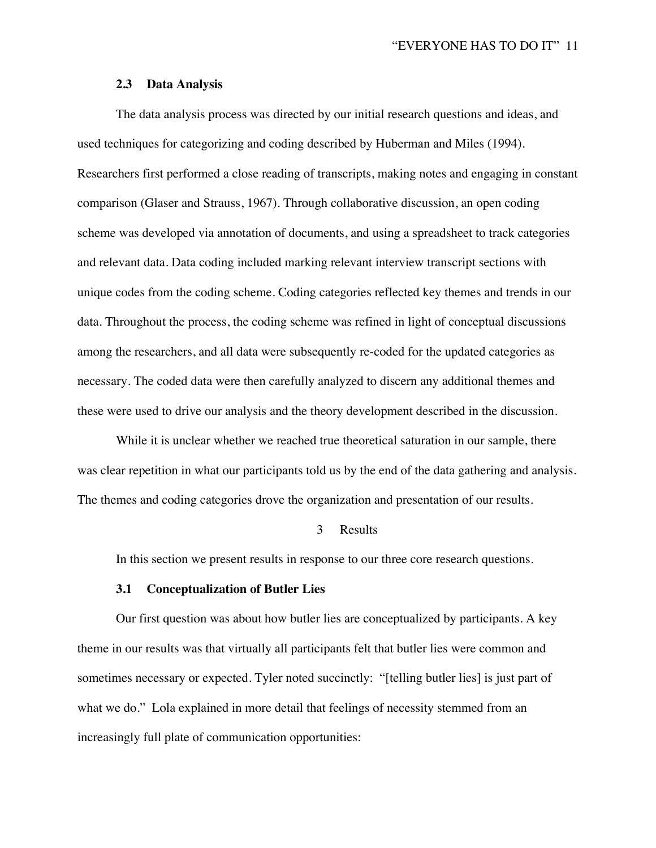### **2.3 Data Analysis**

The data analysis process was directed by our initial research questions and ideas, and used techniques for categorizing and coding described by Huberman and Miles (1994). Researchers first performed a close reading of transcripts, making notes and engaging in constant comparison (Glaser and Strauss, 1967). Through collaborative discussion, an open coding scheme was developed via annotation of documents, and using a spreadsheet to track categories and relevant data. Data coding included marking relevant interview transcript sections with unique codes from the coding scheme. Coding categories reflected key themes and trends in our data. Throughout the process, the coding scheme was refined in light of conceptual discussions among the researchers, and all data were subsequently re-coded for the updated categories as necessary. The coded data were then carefully analyzed to discern any additional themes and these were used to drive our analysis and the theory development described in the discussion.

While it is unclear whether we reached true theoretical saturation in our sample, there was clear repetition in what our participants told us by the end of the data gathering and analysis. The themes and coding categories drove the organization and presentation of our results.

### 3 Results

In this section we present results in response to our three core research questions.

## **3.1 Conceptualization of Butler Lies**

Our first question was about how butler lies are conceptualized by participants. A key theme in our results was that virtually all participants felt that butler lies were common and sometimes necessary or expected. Tyler noted succinctly: "[telling butler lies] is just part of what we do." Lola explained in more detail that feelings of necessity stemmed from an increasingly full plate of communication opportunities: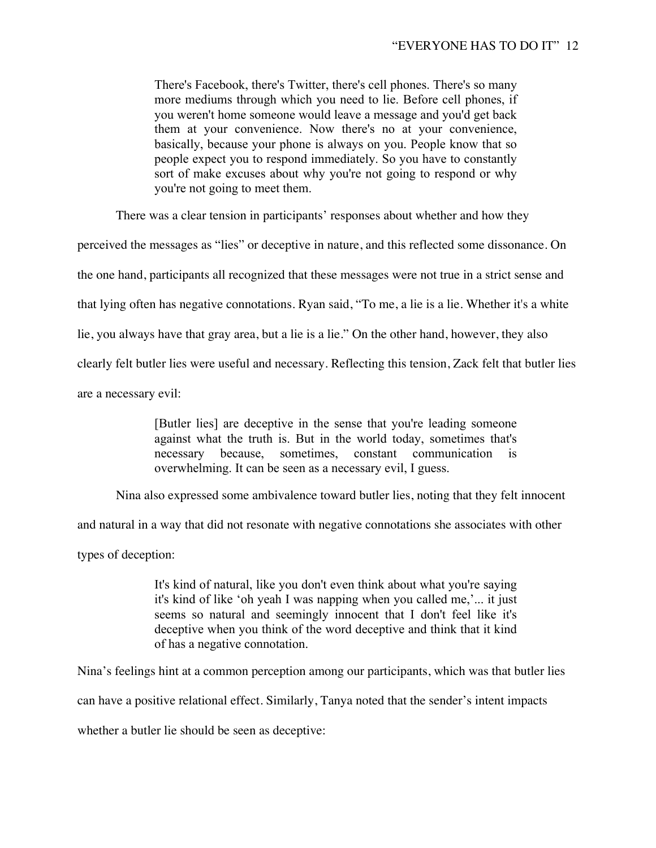There's Facebook, there's Twitter, there's cell phones. There's so many more mediums through which you need to lie. Before cell phones, if you weren't home someone would leave a message and you'd get back them at your convenience. Now there's no at your convenience, basically, because your phone is always on you. People know that so people expect you to respond immediately. So you have to constantly sort of make excuses about why you're not going to respond or why you're not going to meet them.

There was a clear tension in participants' responses about whether and how they

perceived the messages as "lies" or deceptive in nature, and this reflected some dissonance. On

the one hand, participants all recognized that these messages were not true in a strict sense and

that lying often has negative connotations. Ryan said, "To me, a lie is a lie. Whether it's a white

lie, you always have that gray area, but a lie is a lie." On the other hand, however, they also

clearly felt butler lies were useful and necessary. Reflecting this tension, Zack felt that butler lies

are a necessary evil:

[Butler lies] are deceptive in the sense that you're leading someone against what the truth is. But in the world today, sometimes that's necessary because, sometimes, constant communication is overwhelming. It can be seen as a necessary evil, I guess.

Nina also expressed some ambivalence toward butler lies, noting that they felt innocent

and natural in a way that did not resonate with negative connotations she associates with other

types of deception:

It's kind of natural, like you don't even think about what you're saying it's kind of like 'oh yeah I was napping when you called me,'... it just seems so natural and seemingly innocent that I don't feel like it's deceptive when you think of the word deceptive and think that it kind of has a negative connotation.

Nina's feelings hint at a common perception among our participants, which was that butler lies

can have a positive relational effect. Similarly, Tanya noted that the sender's intent impacts

whether a butler lie should be seen as deceptive: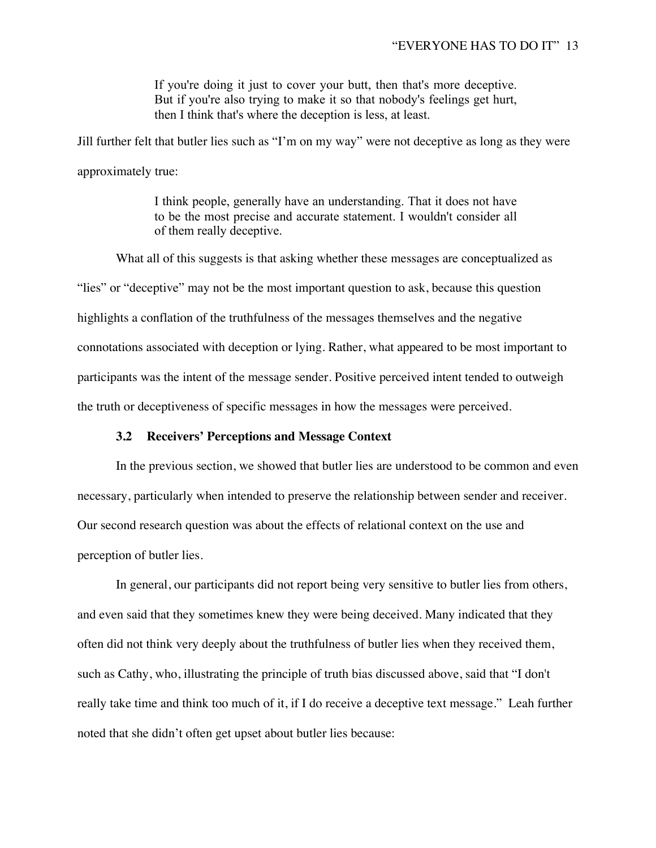If you're doing it just to cover your butt, then that's more deceptive. But if you're also trying to make it so that nobody's feelings get hurt, then I think that's where the deception is less, at least.

Jill further felt that butler lies such as "I'm on my way" were not deceptive as long as they were approximately true:

> I think people, generally have an understanding. That it does not have to be the most precise and accurate statement. I wouldn't consider all of them really deceptive.

What all of this suggests is that asking whether these messages are conceptualized as "lies" or "deceptive" may not be the most important question to ask, because this question highlights a conflation of the truthfulness of the messages themselves and the negative connotations associated with deception or lying. Rather, what appeared to be most important to participants was the intent of the message sender. Positive perceived intent tended to outweigh the truth or deceptiveness of specific messages in how the messages were perceived.

## **3.2 Receivers' Perceptions and Message Context**

In the previous section, we showed that butler lies are understood to be common and even necessary, particularly when intended to preserve the relationship between sender and receiver. Our second research question was about the effects of relational context on the use and perception of butler lies.

In general, our participants did not report being very sensitive to butler lies from others, and even said that they sometimes knew they were being deceived. Many indicated that they often did not think very deeply about the truthfulness of butler lies when they received them, such as Cathy, who, illustrating the principle of truth bias discussed above, said that "I don't really take time and think too much of it, if I do receive a deceptive text message." Leah further noted that she didn't often get upset about butler lies because: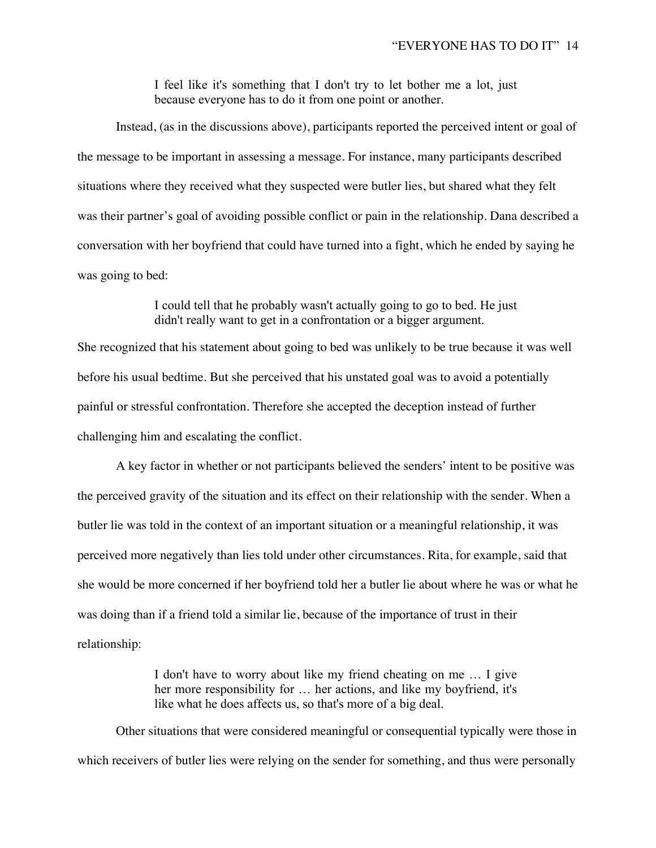I feel like it's something that I don't try to let bother me a lot, just because everyone has to do it from one point or another.

Instead, (as in the discussions above), participants reported the perceived intent or goal of the message to be important in assessing a message. For instance, many participants described situations where they received what they suspected were butler lies, but shared what they felt was their partner's goal of avoiding possible conflict or pain in the relationship. Dana described a conversation with her boyfriend that could have turned into a fight, which he ended by saying he was going to bed:

> I could tell that he probably wasn't actually going to go to bed. He just didn't really want to get in a confrontation or a bigger argument.

She recognized that his statement about going to bed was unlikely to be true because it was well before his usual bedtime. But she perceived that his unstated goal was to avoid a potentially painful or stressful confrontation. Therefore she accepted the deception instead of further challenging him and escalating the conflict.

A key factor in whether or not participants believed the senders' intent to be positive was the perceived gravity of the situation and its effect on their relationship with the sender. When a butler lie was told in the context of an important situation or a meaningful relationship, it was perceived more negatively than lies told under other circumstances. Rita, for example, said that she would be more concerned if her boyfriend told her a butler lie about where he was or what he was doing than if a friend told a similar lie, because of the importance of trust in their relationship:

> I don't have to worry about like my friend cheating on me … I give her more responsibility for … her actions, and like my boyfriend, it's like what he does affects us, so that's more of a big deal.

Other situations that were considered meaningful or consequential typically were those in which receivers of butler lies were relying on the sender for something, and thus were personally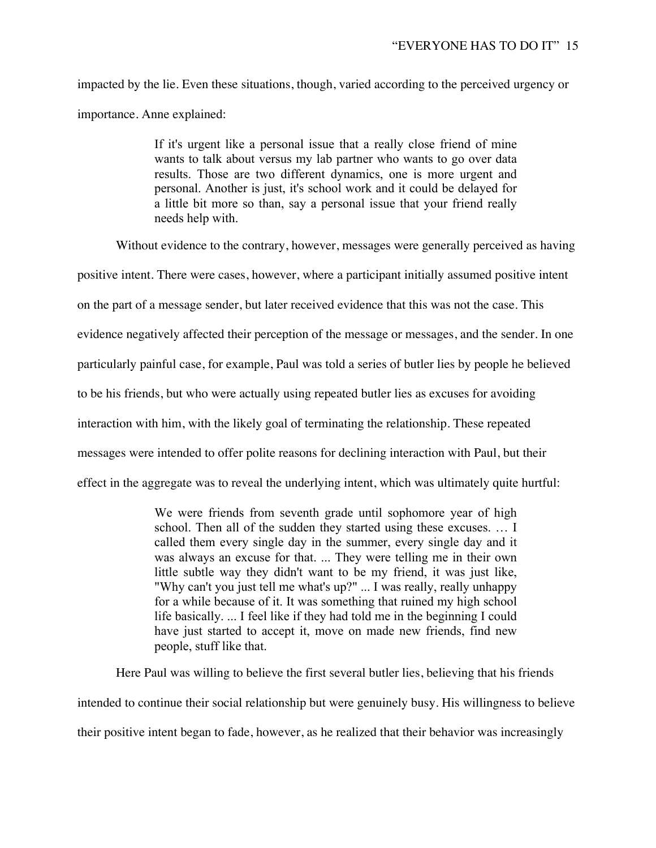impacted by the lie. Even these situations, though, varied according to the perceived urgency or importance. Anne explained:

> If it's urgent like a personal issue that a really close friend of mine wants to talk about versus my lab partner who wants to go over data results. Those are two different dynamics, one is more urgent and personal. Another is just, it's school work and it could be delayed for a little bit more so than, say a personal issue that your friend really needs help with.

Without evidence to the contrary, however, messages were generally perceived as having positive intent. There were cases, however, where a participant initially assumed positive intent on the part of a message sender, but later received evidence that this was not the case. This evidence negatively affected their perception of the message or messages, and the sender. In one particularly painful case, for example, Paul was told a series of butler lies by people he believed to be his friends, but who were actually using repeated butler lies as excuses for avoiding interaction with him, with the likely goal of terminating the relationship. These repeated messages were intended to offer polite reasons for declining interaction with Paul, but their effect in the aggregate was to reveal the underlying intent, which was ultimately quite hurtful:

> We were friends from seventh grade until sophomore year of high school. Then all of the sudden they started using these excuses. … I called them every single day in the summer, every single day and it was always an excuse for that. ... They were telling me in their own little subtle way they didn't want to be my friend, it was just like, "Why can't you just tell me what's up?" ... I was really, really unhappy for a while because of it. It was something that ruined my high school life basically. ... I feel like if they had told me in the beginning I could have just started to accept it, move on made new friends, find new people, stuff like that.

Here Paul was willing to believe the first several butler lies, believing that his friends intended to continue their social relationship but were genuinely busy. His willingness to believe their positive intent began to fade, however, as he realized that their behavior was increasingly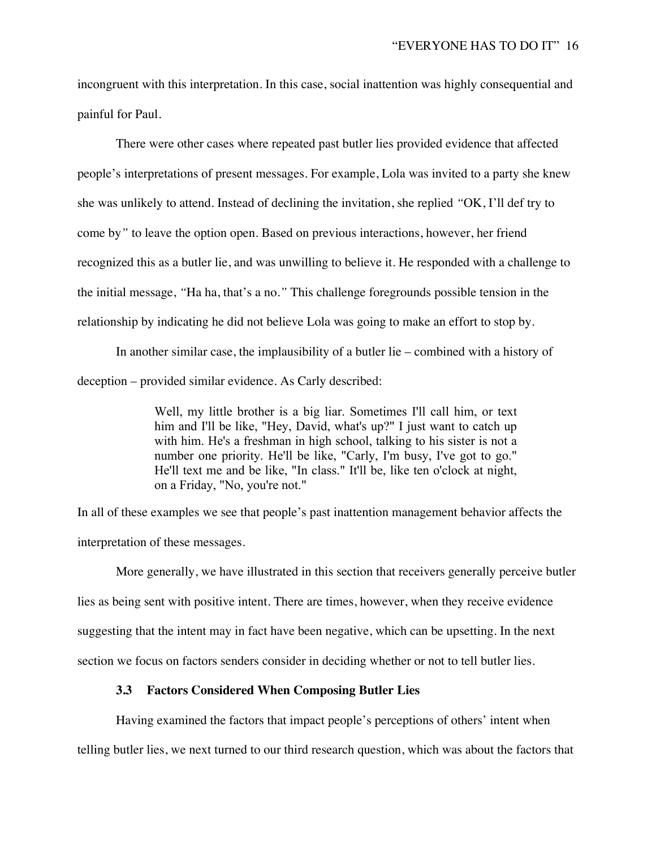incongruent with this interpretation. In this case, social inattention was highly consequential and painful for Paul.

There were other cases where repeated past butler lies provided evidence that affected people's interpretations of present messages. For example, Lola was invited to a party she knew she was unlikely to attend. Instead of declining the invitation, she replied *"*OK, I'll def try to come by*"* to leave the option open. Based on previous interactions, however, her friend recognized this as a butler lie, and was unwilling to believe it. He responded with a challenge to the initial message, *"*Ha ha, that's a no.*"* This challenge foregrounds possible tension in the relationship by indicating he did not believe Lola was going to make an effort to stop by.

In another similar case, the implausibility of a butler lie – combined with a history of deception – provided similar evidence. As Carly described:

> Well, my little brother is a big liar. Sometimes I'll call him, or text him and I'll be like, "Hey, David, what's up?" I just want to catch up with him. He's a freshman in high school, talking to his sister is not a number one priority. He'll be like, "Carly, I'm busy, I've got to go." He'll text me and be like, "In class." It'll be, like ten o'clock at night, on a Friday, "No, you're not."

In all of these examples we see that people's past inattention management behavior affects the interpretation of these messages.

More generally, we have illustrated in this section that receivers generally perceive butler lies as being sent with positive intent. There are times, however, when they receive evidence suggesting that the intent may in fact have been negative, which can be upsetting. In the next section we focus on factors senders consider in deciding whether or not to tell butler lies.

## **3.3 Factors Considered When Composing Butler Lies**

Having examined the factors that impact people's perceptions of others' intent when

telling butler lies, we next turned to our third research question, which was about the factors that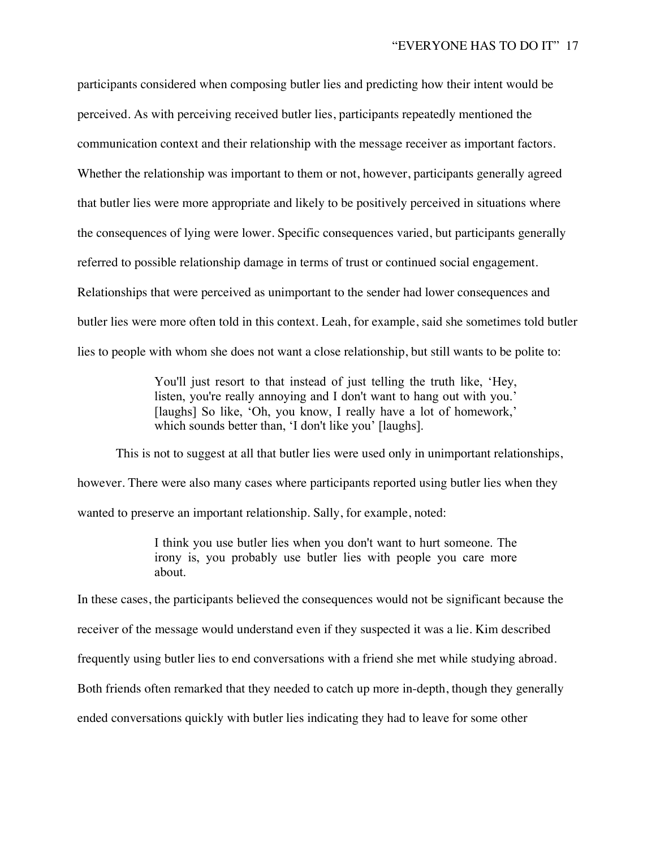participants considered when composing butler lies and predicting how their intent would be perceived. As with perceiving received butler lies, participants repeatedly mentioned the communication context and their relationship with the message receiver as important factors. Whether the relationship was important to them or not, however, participants generally agreed that butler lies were more appropriate and likely to be positively perceived in situations where the consequences of lying were lower. Specific consequences varied, but participants generally referred to possible relationship damage in terms of trust or continued social engagement. Relationships that were perceived as unimportant to the sender had lower consequences and butler lies were more often told in this context. Leah, for example, said she sometimes told butler lies to people with whom she does not want a close relationship, but still wants to be polite to:

> You'll just resort to that instead of just telling the truth like, 'Hey, listen, you're really annoying and I don't want to hang out with you.' [laughs] So like, 'Oh, you know, I really have a lot of homework,' which sounds better than, 'I don't like you' [laughs].

This is not to suggest at all that butler lies were used only in unimportant relationships, however. There were also many cases where participants reported using butler lies when they wanted to preserve an important relationship. Sally, for example, noted:

> I think you use butler lies when you don't want to hurt someone. The irony is, you probably use butler lies with people you care more about.

In these cases, the participants believed the consequences would not be significant because the receiver of the message would understand even if they suspected it was a lie. Kim described frequently using butler lies to end conversations with a friend she met while studying abroad. Both friends often remarked that they needed to catch up more in-depth, though they generally ended conversations quickly with butler lies indicating they had to leave for some other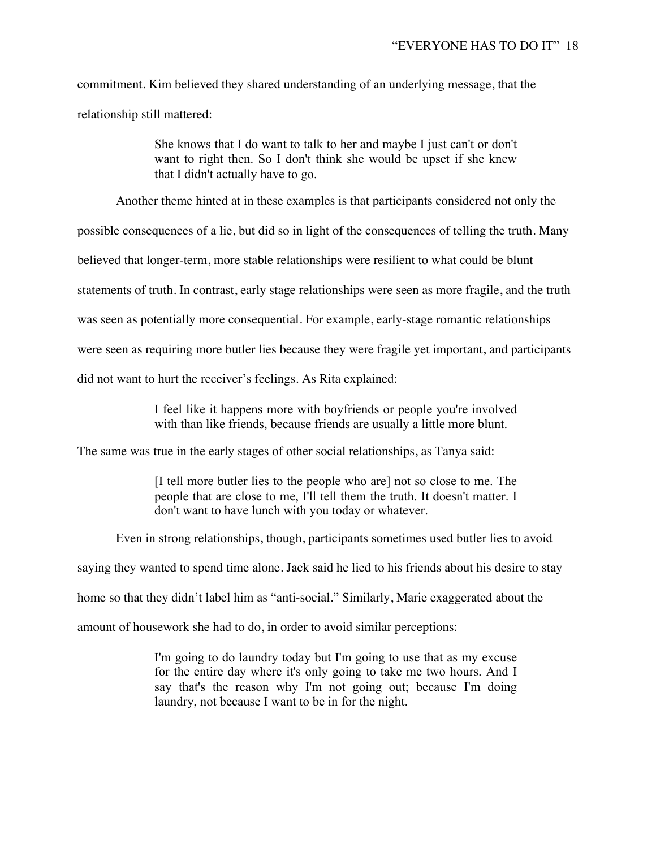commitment. Kim believed they shared understanding of an underlying message, that the relationship still mattered:

> She knows that I do want to talk to her and maybe I just can't or don't want to right then. So I don't think she would be upset if she knew that I didn't actually have to go.

Another theme hinted at in these examples is that participants considered not only the

possible consequences of a lie, but did so in light of the consequences of telling the truth. Many

believed that longer-term, more stable relationships were resilient to what could be blunt

statements of truth. In contrast, early stage relationships were seen as more fragile, and the truth

was seen as potentially more consequential. For example, early-stage romantic relationships

were seen as requiring more butler lies because they were fragile yet important, and participants

did not want to hurt the receiver's feelings. As Rita explained:

I feel like it happens more with boyfriends or people you're involved with than like friends, because friends are usually a little more blunt.

The same was true in the early stages of other social relationships, as Tanya said:

[I tell more butler lies to the people who are] not so close to me. The people that are close to me, I'll tell them the truth. It doesn't matter. I don't want to have lunch with you today or whatever.

Even in strong relationships, though, participants sometimes used butler lies to avoid

saying they wanted to spend time alone. Jack said he lied to his friends about his desire to stay

home so that they didn't label him as "anti-social." Similarly, Marie exaggerated about the

amount of housework she had to do, in order to avoid similar perceptions:

I'm going to do laundry today but I'm going to use that as my excuse for the entire day where it's only going to take me two hours. And I say that's the reason why I'm not going out; because I'm doing laundry, not because I want to be in for the night.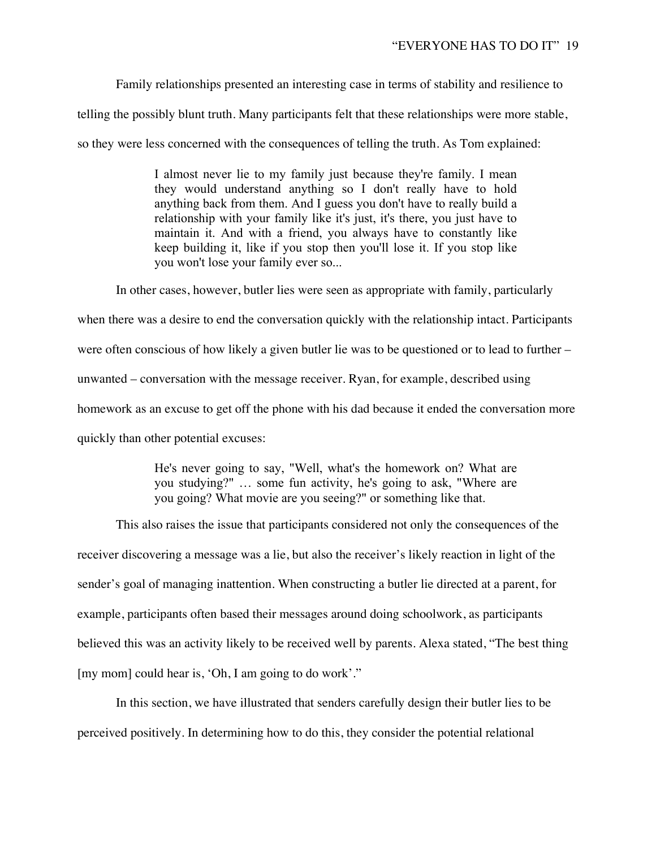Family relationships presented an interesting case in terms of stability and resilience to

telling the possibly blunt truth. Many participants felt that these relationships were more stable,

so they were less concerned with the consequences of telling the truth. As Tom explained:

I almost never lie to my family just because they're family. I mean they would understand anything so I don't really have to hold anything back from them. And I guess you don't have to really build a relationship with your family like it's just, it's there, you just have to maintain it. And with a friend, you always have to constantly like keep building it, like if you stop then you'll lose it. If you stop like you won't lose your family ever so...

In other cases, however, butler lies were seen as appropriate with family, particularly

when there was a desire to end the conversation quickly with the relationship intact. Participants were often conscious of how likely a given butler lie was to be questioned or to lead to further – unwanted – conversation with the message receiver. Ryan, for example, described using homework as an excuse to get off the phone with his dad because it ended the conversation more quickly than other potential excuses:

> He's never going to say, "Well, what's the homework on? What are you studying?" … some fun activity, he's going to ask, "Where are you going? What movie are you seeing?" or something like that.

This also raises the issue that participants considered not only the consequences of the receiver discovering a message was a lie, but also the receiver's likely reaction in light of the sender's goal of managing inattention. When constructing a butler lie directed at a parent, for example, participants often based their messages around doing schoolwork, as participants believed this was an activity likely to be received well by parents. Alexa stated, "The best thing [my mom] could hear is, 'Oh, I am going to do work'."

In this section, we have illustrated that senders carefully design their butler lies to be perceived positively. In determining how to do this, they consider the potential relational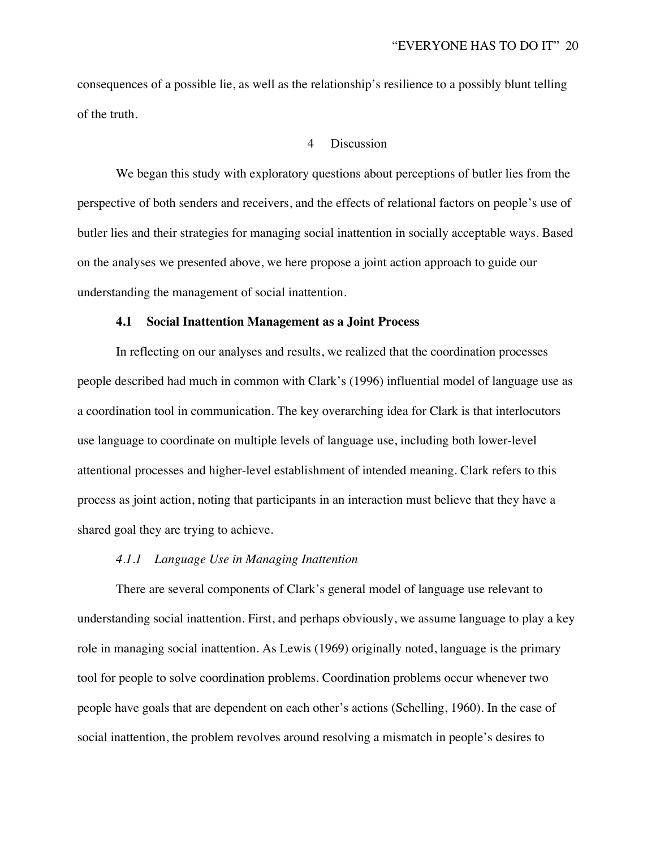consequences of a possible lie, as well as the relationship's resilience to a possibly blunt telling of the truth.

### 4 Discussion

We began this study with exploratory questions about perceptions of butler lies from the perspective of both senders and receivers, and the effects of relational factors on people's use of butler lies and their strategies for managing social inattention in socially acceptable ways. Based on the analyses we presented above, we here propose a joint action approach to guide our understanding the management of social inattention.

#### **4.1 Social Inattention Management as a Joint Process**

In reflecting on our analyses and results, we realized that the coordination processes people described had much in common with Clark's (1996) influential model of language use as a coordination tool in communication. The key overarching idea for Clark is that interlocutors use language to coordinate on multiple levels of language use, including both lower-level attentional processes and higher-level establishment of intended meaning. Clark refers to this process as joint action, noting that participants in an interaction must believe that they have a shared goal they are trying to achieve.

## *4.1.1 Language Use in Managing Inattention*

There are several components of Clark's general model of language use relevant to understanding social inattention. First, and perhaps obviously, we assume language to play a key role in managing social inattention. As Lewis (1969) originally noted, language is the primary tool for people to solve coordination problems. Coordination problems occur whenever two people have goals that are dependent on each other's actions (Schelling, 1960). In the case of social inattention, the problem revolves around resolving a mismatch in people's desires to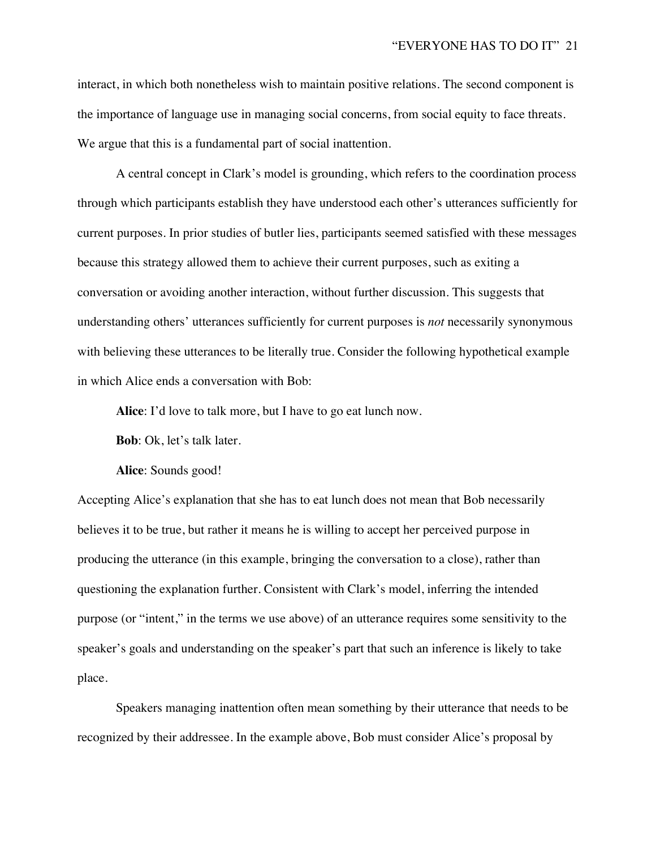interact, in which both nonetheless wish to maintain positive relations. The second component is the importance of language use in managing social concerns, from social equity to face threats. We argue that this is a fundamental part of social inattention.

A central concept in Clark's model is grounding, which refers to the coordination process through which participants establish they have understood each other's utterances sufficiently for current purposes. In prior studies of butler lies, participants seemed satisfied with these messages because this strategy allowed them to achieve their current purposes, such as exiting a conversation or avoiding another interaction, without further discussion. This suggests that understanding others' utterances sufficiently for current purposes is *not* necessarily synonymous with believing these utterances to be literally true. Consider the following hypothetical example in which Alice ends a conversation with Bob:

**Alice**: I'd love to talk more, but I have to go eat lunch now.

**Bob**: Ok, let's talk later.

**Alice**: Sounds good!

Accepting Alice's explanation that she has to eat lunch does not mean that Bob necessarily believes it to be true, but rather it means he is willing to accept her perceived purpose in producing the utterance (in this example, bringing the conversation to a close), rather than questioning the explanation further. Consistent with Clark's model, inferring the intended purpose (or "intent," in the terms we use above) of an utterance requires some sensitivity to the speaker's goals and understanding on the speaker's part that such an inference is likely to take place.

Speakers managing inattention often mean something by their utterance that needs to be recognized by their addressee. In the example above, Bob must consider Alice's proposal by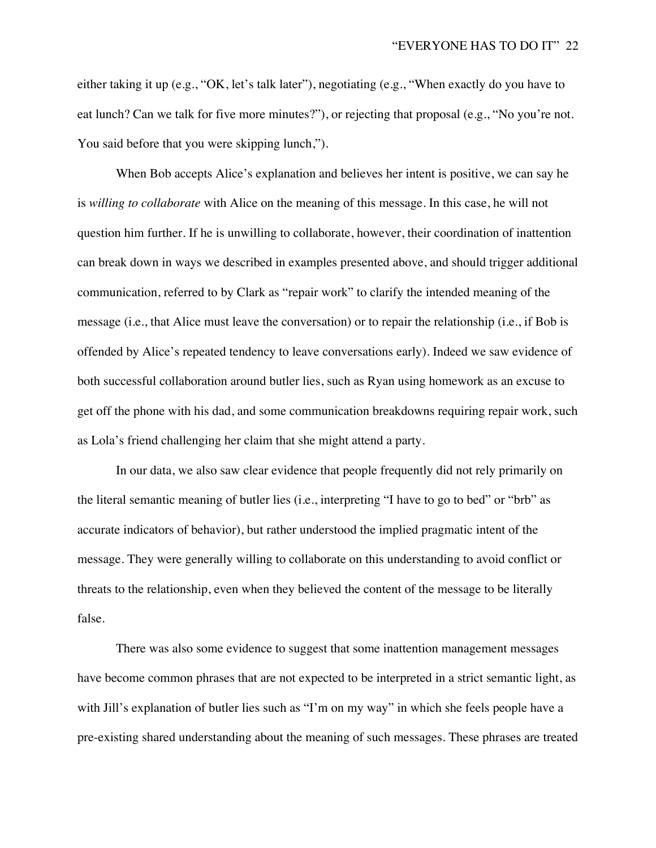either taking it up (e.g., "OK, let's talk later"), negotiating (e.g., "When exactly do you have to eat lunch? Can we talk for five more minutes?"), or rejecting that proposal (e.g., "No you're not. You said before that you were skipping lunch,").

When Bob accepts Alice's explanation and believes her intent is positive, we can say he is *willing to collaborate* with Alice on the meaning of this message. In this case, he will not question him further. If he is unwilling to collaborate, however, their coordination of inattention can break down in ways we described in examples presented above, and should trigger additional communication, referred to by Clark as "repair work" to clarify the intended meaning of the message (i.e., that Alice must leave the conversation) or to repair the relationship (i.e., if Bob is offended by Alice's repeated tendency to leave conversations early). Indeed we saw evidence of both successful collaboration around butler lies, such as Ryan using homework as an excuse to get off the phone with his dad, and some communication breakdowns requiring repair work, such as Lola's friend challenging her claim that she might attend a party.

In our data, we also saw clear evidence that people frequently did not rely primarily on the literal semantic meaning of butler lies (i.e., interpreting "I have to go to bed" or "brb" as accurate indicators of behavior), but rather understood the implied pragmatic intent of the message. They were generally willing to collaborate on this understanding to avoid conflict or threats to the relationship, even when they believed the content of the message to be literally false.

There was also some evidence to suggest that some inattention management messages have become common phrases that are not expected to be interpreted in a strict semantic light, as with Jill's explanation of butler lies such as "I'm on my way" in which she feels people have a pre-existing shared understanding about the meaning of such messages. These phrases are treated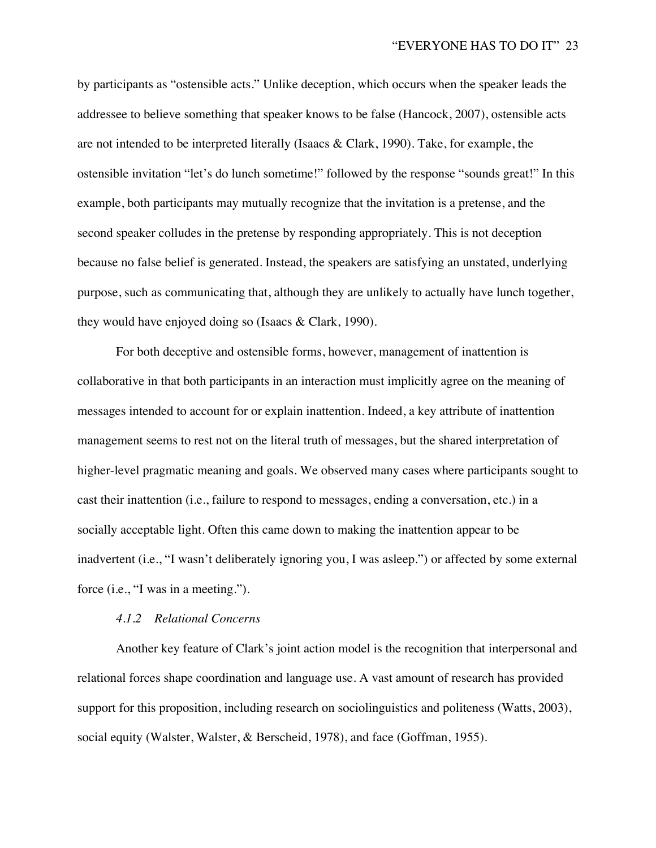by participants as "ostensible acts." Unlike deception, which occurs when the speaker leads the addressee to believe something that speaker knows to be false (Hancock, 2007), ostensible acts are not intended to be interpreted literally (Isaacs & Clark, 1990). Take, for example, the ostensible invitation "let's do lunch sometime!" followed by the response "sounds great!" In this example, both participants may mutually recognize that the invitation is a pretense, and the second speaker colludes in the pretense by responding appropriately. This is not deception because no false belief is generated. Instead, the speakers are satisfying an unstated, underlying purpose, such as communicating that, although they are unlikely to actually have lunch together, they would have enjoyed doing so (Isaacs & Clark, 1990).

For both deceptive and ostensible forms, however, management of inattention is collaborative in that both participants in an interaction must implicitly agree on the meaning of messages intended to account for or explain inattention. Indeed, a key attribute of inattention management seems to rest not on the literal truth of messages, but the shared interpretation of higher-level pragmatic meaning and goals. We observed many cases where participants sought to cast their inattention (i.e., failure to respond to messages, ending a conversation, etc.) in a socially acceptable light. Often this came down to making the inattention appear to be inadvertent (i.e., "I wasn't deliberately ignoring you, I was asleep.") or affected by some external force (i.e., "I was in a meeting.").

## *4.1.2 Relational Concerns*

Another key feature of Clark's joint action model is the recognition that interpersonal and relational forces shape coordination and language use. A vast amount of research has provided support for this proposition, including research on sociolinguistics and politeness (Watts, 2003), social equity (Walster, Walster, & Berscheid, 1978), and face (Goffman, 1955).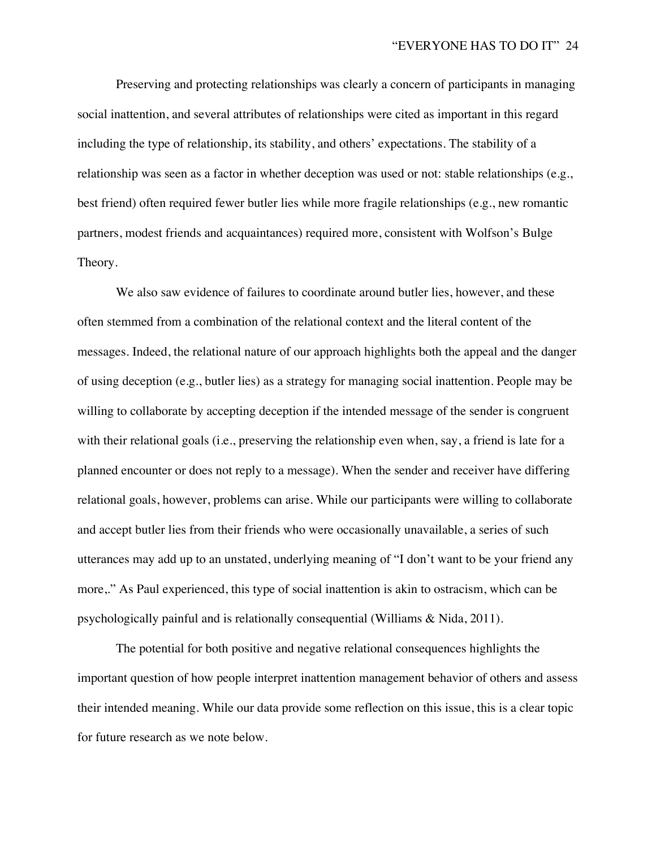Preserving and protecting relationships was clearly a concern of participants in managing social inattention, and several attributes of relationships were cited as important in this regard including the type of relationship, its stability, and others' expectations. The stability of a relationship was seen as a factor in whether deception was used or not: stable relationships (e.g., best friend) often required fewer butler lies while more fragile relationships (e.g., new romantic partners, modest friends and acquaintances) required more, consistent with Wolfson's Bulge Theory.

We also saw evidence of failures to coordinate around butler lies, however, and these often stemmed from a combination of the relational context and the literal content of the messages. Indeed, the relational nature of our approach highlights both the appeal and the danger of using deception (e.g., butler lies) as a strategy for managing social inattention. People may be willing to collaborate by accepting deception if the intended message of the sender is congruent with their relational goals (i.e., preserving the relationship even when, say, a friend is late for a planned encounter or does not reply to a message). When the sender and receiver have differing relational goals, however, problems can arise. While our participants were willing to collaborate and accept butler lies from their friends who were occasionally unavailable, a series of such utterances may add up to an unstated, underlying meaning of "I don't want to be your friend any more,." As Paul experienced, this type of social inattention is akin to ostracism, which can be psychologically painful and is relationally consequential (Williams & Nida, 2011).

The potential for both positive and negative relational consequences highlights the important question of how people interpret inattention management behavior of others and assess their intended meaning. While our data provide some reflection on this issue, this is a clear topic for future research as we note below.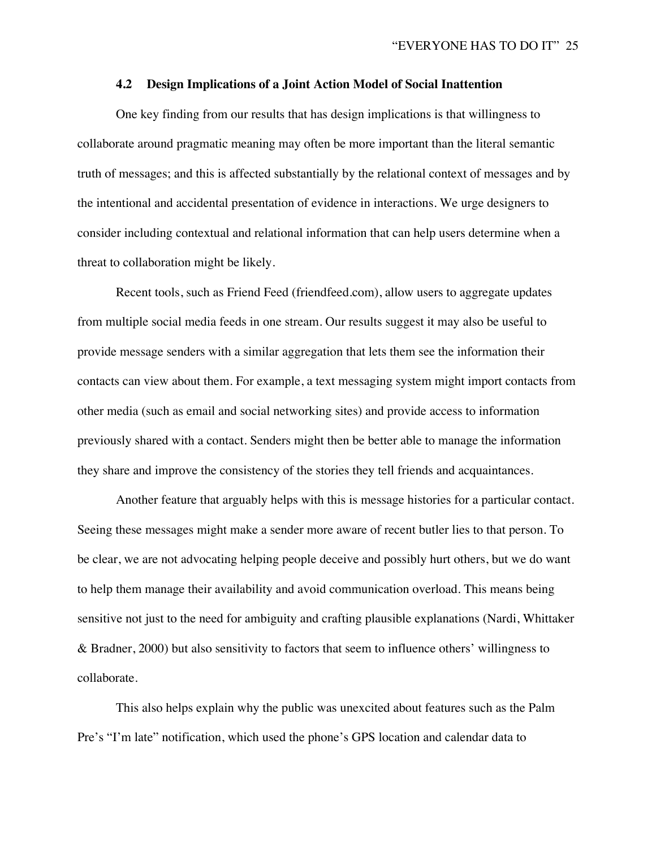### **4.2 Design Implications of a Joint Action Model of Social Inattention**

One key finding from our results that has design implications is that willingness to collaborate around pragmatic meaning may often be more important than the literal semantic truth of messages; and this is affected substantially by the relational context of messages and by the intentional and accidental presentation of evidence in interactions. We urge designers to consider including contextual and relational information that can help users determine when a threat to collaboration might be likely.

Recent tools, such as Friend Feed (friendfeed.com), allow users to aggregate updates from multiple social media feeds in one stream. Our results suggest it may also be useful to provide message senders with a similar aggregation that lets them see the information their contacts can view about them. For example, a text messaging system might import contacts from other media (such as email and social networking sites) and provide access to information previously shared with a contact. Senders might then be better able to manage the information they share and improve the consistency of the stories they tell friends and acquaintances.

Another feature that arguably helps with this is message histories for a particular contact. Seeing these messages might make a sender more aware of recent butler lies to that person. To be clear, we are not advocating helping people deceive and possibly hurt others, but we do want to help them manage their availability and avoid communication overload. This means being sensitive not just to the need for ambiguity and crafting plausible explanations (Nardi, Whittaker & Bradner, 2000) but also sensitivity to factors that seem to influence others' willingness to collaborate.

This also helps explain why the public was unexcited about features such as the Palm Pre's "I'm late" notification, which used the phone's GPS location and calendar data to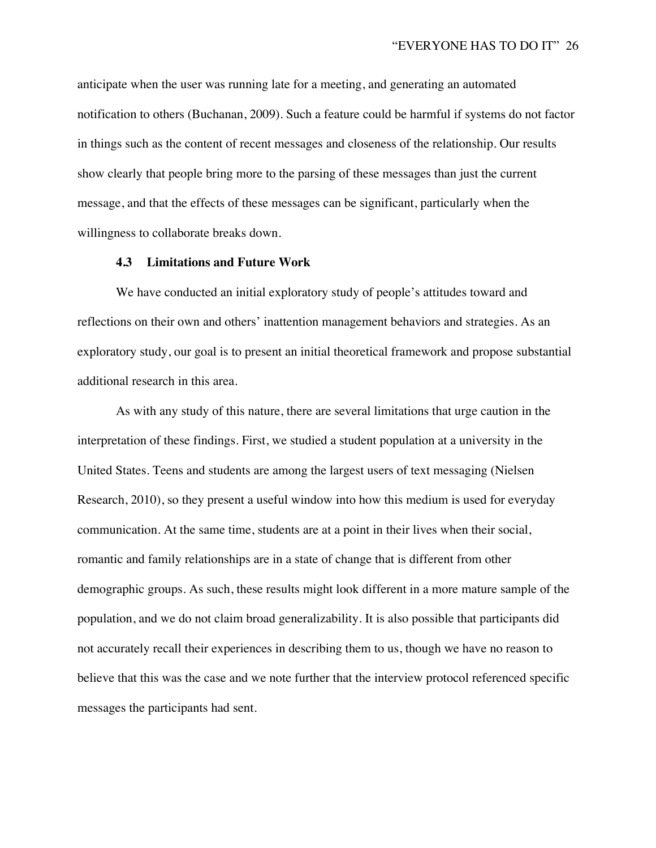anticipate when the user was running late for a meeting, and generating an automated notification to others (Buchanan, 2009). Such a feature could be harmful if systems do not factor in things such as the content of recent messages and closeness of the relationship. Our results show clearly that people bring more to the parsing of these messages than just the current message, and that the effects of these messages can be significant, particularly when the willingness to collaborate breaks down.

### **4.3 Limitations and Future Work**

We have conducted an initial exploratory study of people's attitudes toward and reflections on their own and others' inattention management behaviors and strategies. As an exploratory study, our goal is to present an initial theoretical framework and propose substantial additional research in this area.

As with any study of this nature, there are several limitations that urge caution in the interpretation of these findings. First, we studied a student population at a university in the United States. Teens and students are among the largest users of text messaging (Nielsen Research, 2010), so they present a useful window into how this medium is used for everyday communication. At the same time, students are at a point in their lives when their social, romantic and family relationships are in a state of change that is different from other demographic groups. As such, these results might look different in a more mature sample of the population, and we do not claim broad generalizability. It is also possible that participants did not accurately recall their experiences in describing them to us, though we have no reason to believe that this was the case and we note further that the interview protocol referenced specific messages the participants had sent.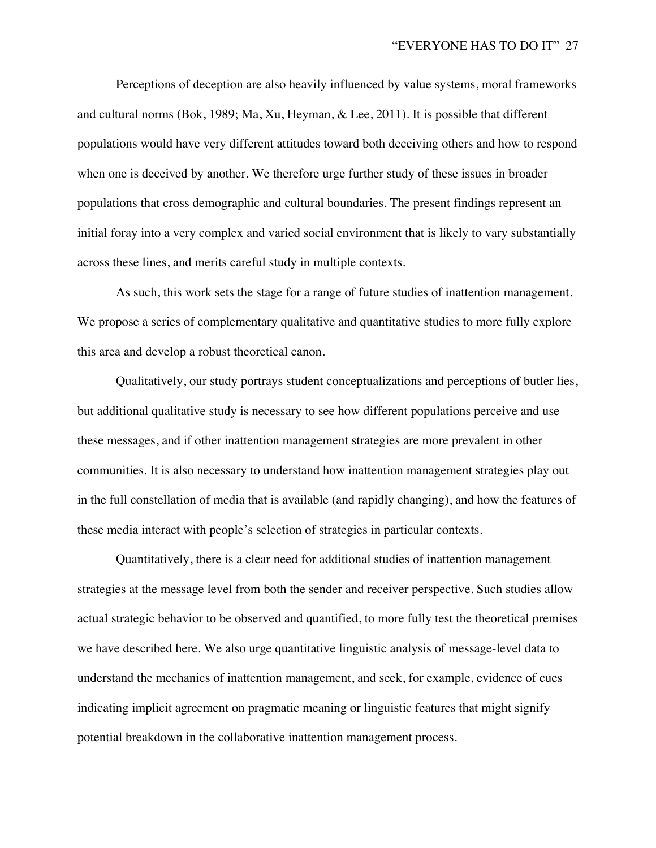Perceptions of deception are also heavily influenced by value systems, moral frameworks and cultural norms (Bok, 1989; Ma, Xu, Heyman, & Lee, 2011). It is possible that different populations would have very different attitudes toward both deceiving others and how to respond when one is deceived by another. We therefore urge further study of these issues in broader populations that cross demographic and cultural boundaries. The present findings represent an initial foray into a very complex and varied social environment that is likely to vary substantially across these lines, and merits careful study in multiple contexts.

As such, this work sets the stage for a range of future studies of inattention management. We propose a series of complementary qualitative and quantitative studies to more fully explore this area and develop a robust theoretical canon.

Qualitatively, our study portrays student conceptualizations and perceptions of butler lies, but additional qualitative study is necessary to see how different populations perceive and use these messages, and if other inattention management strategies are more prevalent in other communities. It is also necessary to understand how inattention management strategies play out in the full constellation of media that is available (and rapidly changing), and how the features of these media interact with people's selection of strategies in particular contexts.

Quantitatively, there is a clear need for additional studies of inattention management strategies at the message level from both the sender and receiver perspective. Such studies allow actual strategic behavior to be observed and quantified, to more fully test the theoretical premises we have described here. We also urge quantitative linguistic analysis of message-level data to understand the mechanics of inattention management, and seek, for example, evidence of cues indicating implicit agreement on pragmatic meaning or linguistic features that might signify potential breakdown in the collaborative inattention management process.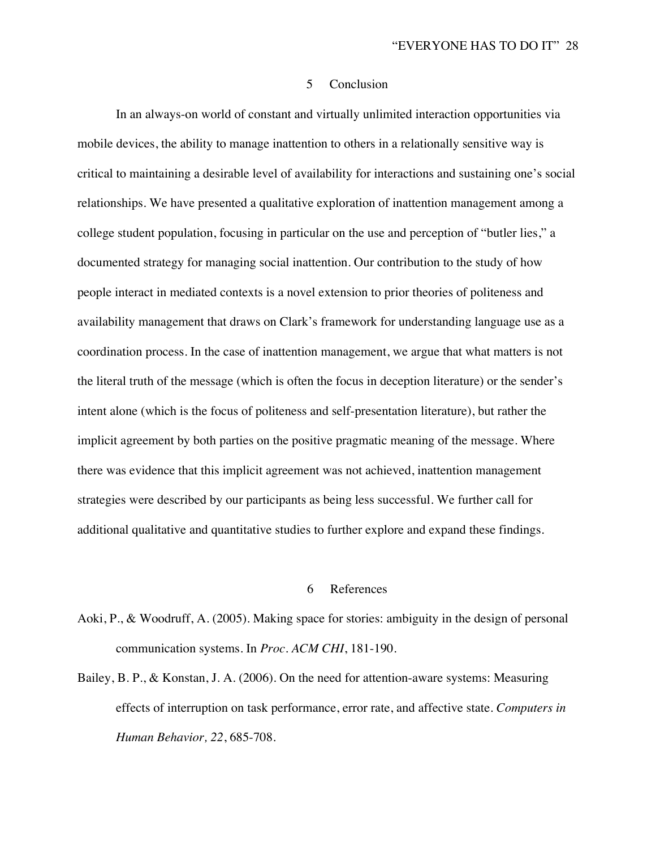## 5 Conclusion

In an always-on world of constant and virtually unlimited interaction opportunities via mobile devices, the ability to manage inattention to others in a relationally sensitive way is critical to maintaining a desirable level of availability for interactions and sustaining one's social relationships. We have presented a qualitative exploration of inattention management among a college student population, focusing in particular on the use and perception of "butler lies," a documented strategy for managing social inattention. Our contribution to the study of how people interact in mediated contexts is a novel extension to prior theories of politeness and availability management that draws on Clark's framework for understanding language use as a coordination process. In the case of inattention management, we argue that what matters is not the literal truth of the message (which is often the focus in deception literature) or the sender's intent alone (which is the focus of politeness and self-presentation literature), but rather the implicit agreement by both parties on the positive pragmatic meaning of the message. Where there was evidence that this implicit agreement was not achieved, inattention management strategies were described by our participants as being less successful. We further call for additional qualitative and quantitative studies to further explore and expand these findings.

# 6 References

- Aoki, P., & Woodruff, A. (2005). Making space for stories: ambiguity in the design of personal communication systems*.* In *Proc. ACM CHI*, 181-190.
- Bailey, B. P., & Konstan, J. A. (2006). On the need for attention-aware systems: Measuring effects of interruption on task performance, error rate, and affective state. *Computers in Human Behavior, 22*, 685-708.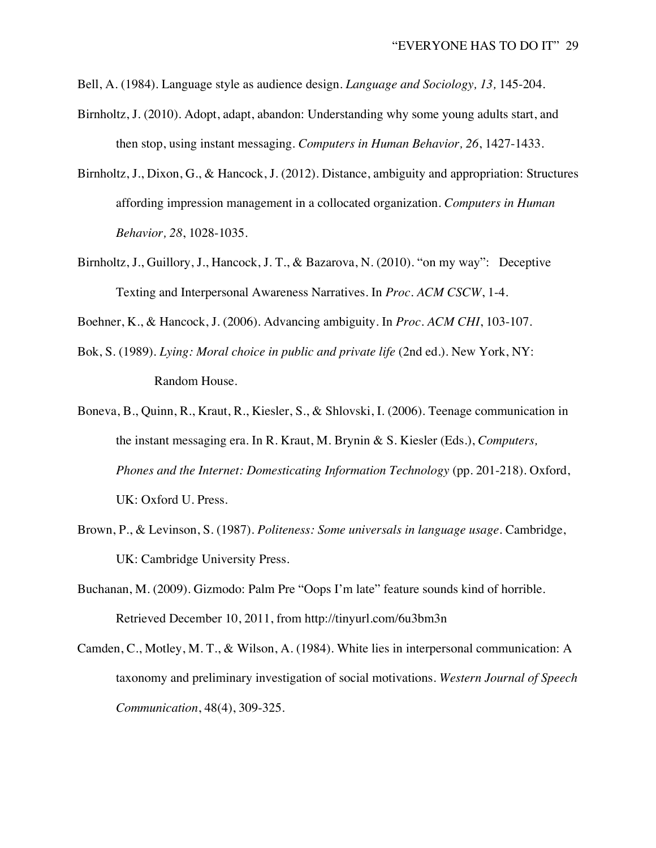Bell, A. (1984). Language style as audience design. *Language and Sociology, 13,* 145-204.

- Birnholtz, J. (2010). Adopt, adapt, abandon: Understanding why some young adults start, and then stop, using instant messaging. *Computers in Human Behavior, 26*, 1427-1433.
- Birnholtz, J., Dixon, G., & Hancock, J. (2012). Distance, ambiguity and appropriation: Structures affording impression management in a collocated organization. *Computers in Human Behavior, 28*, 1028-1035.
- Birnholtz, J., Guillory, J., Hancock, J. T., & Bazarova, N. (2010). "on my way": Deceptive Texting and Interpersonal Awareness Narratives*.* In *Proc. ACM CSCW*, 1-4.

Boehner, K., & Hancock, J. (2006). Advancing ambiguity*.* In *Proc. ACM CHI*, 103-107.

- Bok, S. (1989). *Lying: Moral choice in public and private life* (2nd ed.). New York, NY: Random House.
- Boneva, B., Quinn, R., Kraut, R., Kiesler, S., & Shlovski, I. (2006). Teenage communication in the instant messaging era. In R. Kraut, M. Brynin & S. Kiesler (Eds.), *Computers, Phones and the Internet: Domesticating Information Technology* (pp. 201-218). Oxford, UK: Oxford U. Press.
- Brown, P., & Levinson, S. (1987). *Politeness: Some universals in language usage*. Cambridge, UK: Cambridge University Press.
- Buchanan, M. (2009). Gizmodo: Palm Pre "Oops I'm late" feature sounds kind of horrible. Retrieved December 10, 2011, from http://tinyurl.com/6u3bm3n
- Camden, C., Motley, M. T., & Wilson, A. (1984). White lies in interpersonal communication: A taxonomy and preliminary investigation of social motivations. *Western Journal of Speech Communication*, 48(4), 309-325.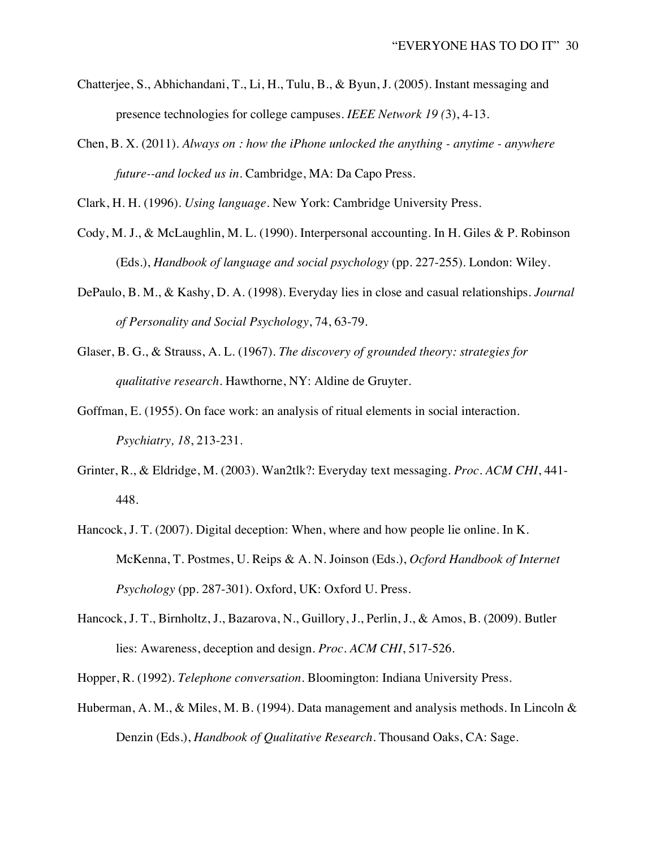- Chatterjee, S., Abhichandani, T., Li, H., Tulu, B., & Byun, J. (2005). Instant messaging and presence technologies for college campuses. *IEEE Network 19 (*3), 4-13.
- Chen, B. X. (2011). *Always on : how the iPhone unlocked the anything - anytime - anywhere future--and locked us in*. Cambridge, MA: Da Capo Press.

Clark, H. H. (1996). *Using language*. New York: Cambridge University Press.

- Cody, M. J., & McLaughlin, M. L. (1990). Interpersonal accounting. In H. Giles & P. Robinson (Eds.), *Handbook of language and social psychology* (pp. 227-255). London: Wiley.
- DePaulo, B. M., & Kashy, D. A. (1998). Everyday lies in close and casual relationships. *Journal of Personality and Social Psychology*, 74, 63-79.
- Glaser, B. G., & Strauss, A. L. (1967). *The discovery of grounded theory: strategies for qualitative research*. Hawthorne, NY: Aldine de Gruyter.
- Goffman, E. (1955). On face work: an analysis of ritual elements in social interaction. *Psychiatry, 18*, 213-231.
- Grinter, R., & Eldridge, M. (2003). Wan2tlk?: Everyday text messaging. *Proc. ACM CHI*, 441- 448.
- Hancock, J. T. (2007). Digital deception: When, where and how people lie online. In K. McKenna, T. Postmes, U. Reips & A. N. Joinson (Eds.), *Ocford Handbook of Internet Psychology* (pp. 287-301). Oxford, UK: Oxford U. Press.
- Hancock, J. T., Birnholtz, J., Bazarova, N., Guillory, J., Perlin, J., & Amos, B. (2009). Butler lies: Awareness, deception and design. *Proc. ACM CHI*, 517-526.
- Hopper, R. (1992). *Telephone conversation*. Bloomington: Indiana University Press.
- Huberman, A. M., & Miles, M. B. (1994). Data management and analysis methods. In Lincoln & Denzin (Eds.), *Handbook of Qualitative Research*. Thousand Oaks, CA: Sage.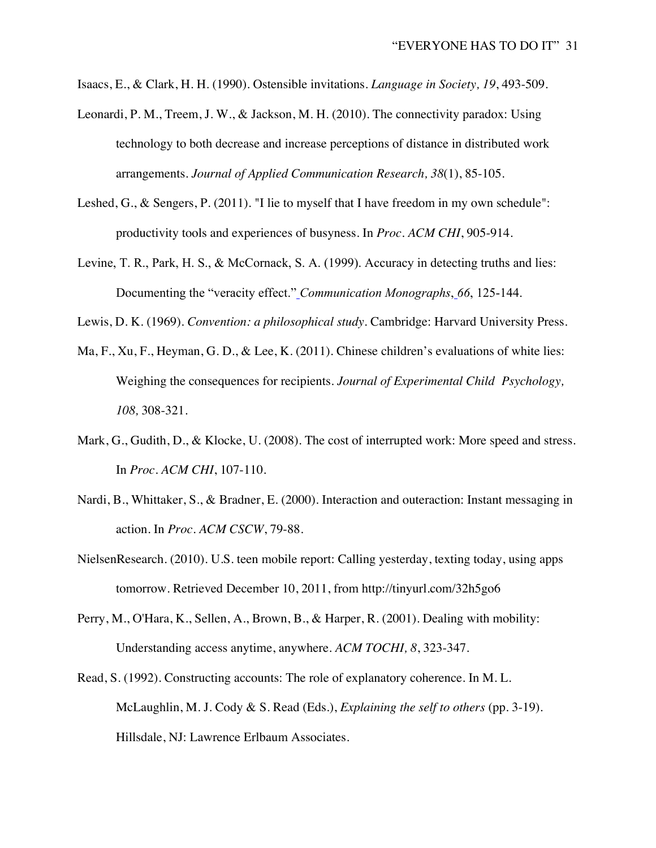Isaacs, E., & Clark, H. H. (1990). Ostensible invitations. *Language in Society, 19*, 493-509.

- Leonardi, P. M., Treem, J. W., & Jackson, M. H. (2010). The connectivity paradox: Using technology to both decrease and increase perceptions of distance in distributed work arrangements. *Journal of Applied Communication Research, 38*(1), 85-105.
- Leshed, G., & Sengers, P. (2011). "I lie to myself that I have freedom in my own schedule": productivity tools and experiences of busyness*.* In *Proc. ACM CHI*, 905-914.
- Levine, T. R., Park, H. S., & McCornack, S. A. (1999). Accuracy in detecting truths and lies: Documenting the "veracity effect." *Communication Monographs*, *66*, 125-144.
- Lewis, D. K. (1969). *Convention: a philosophical study*. Cambridge: Harvard University Press.
- Ma, F., Xu, F., Heyman, G. D., & Lee, K. (2011). Chinese children's evaluations of white lies: Weighing the consequences for recipients. *Journal of Experimental Child Psychology, 108,* 308-321.
- Mark, G., Gudith, D., & Klocke, U. (2008). The cost of interrupted work: More speed and stress. In *Proc. ACM CHI*, 107-110.
- Nardi, B., Whittaker, S., & Bradner, E. (2000). Interaction and outeraction: Instant messaging in action*.* In *Proc. ACM CSCW*, 79-88.
- NielsenResearch. (2010). U.S. teen mobile report: Calling yesterday, texting today, using apps tomorrow. Retrieved December 10, 2011, from http://tinyurl.com/32h5go6
- Perry, M., O'Hara, K., Sellen, A., Brown, B., & Harper, R. (2001). Dealing with mobility: Understanding access anytime, anywhere. *ACM TOCHI, 8*, 323-347.
- Read, S. (1992). Constructing accounts: The role of explanatory coherence. In M. L. McLaughlin, M. J. Cody & S. Read (Eds.), *Explaining the self to others* (pp. 3-19). Hillsdale, NJ: Lawrence Erlbaum Associates.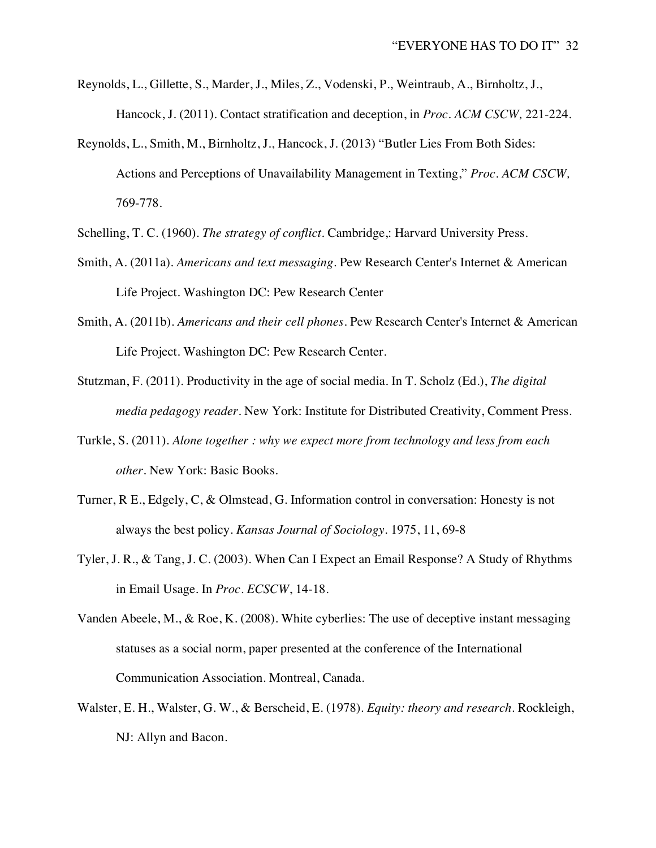- Reynolds, L., Gillette, S., Marder, J., Miles, Z., Vodenski, P., Weintraub, A., Birnholtz, J., Hancock, J. (2011). Contact stratification and deception, in *Proc. ACM CSCW,* 221-224.
- Reynolds, L., Smith, M., Birnholtz, J., Hancock, J. (2013) "Butler Lies From Both Sides: Actions and Perceptions of Unavailability Management in Texting," *Proc. ACM CSCW,*  769-778.
- Schelling, T. C. (1960). *The strategy of conflict*. Cambridge,: Harvard University Press.
- Smith, A. (2011a). *Americans and text messaging*. Pew Research Center's Internet & American Life Project. Washington DC: Pew Research Center
- Smith, A. (2011b). *Americans and their cell phones*. Pew Research Center's Internet & American Life Project. Washington DC: Pew Research Center.
- Stutzman, F. (2011). Productivity in the age of social media. In T. Scholz (Ed.), *The digital media pedagogy reader*. New York: Institute for Distributed Creativity, Comment Press.
- Turkle, S. (2011). *Alone together : why we expect more from technology and less from each other*. New York: Basic Books.
- Turner, R E., Edgely, C, & Olmstead, G. Information control in conversation: Honesty is not always the best policy. *Kansas Journal of Sociology.* 1975, 11, 69-8
- Tyler, J. R., & Tang, J. C. (2003). When Can I Expect an Email Response? A Study of Rhythms in Email Usage. In *Proc. ECSCW*, 14-18.
- Vanden Abeele, M., & Roe, K. (2008). White cyberlies: The use of deceptive instant messaging statuses as a social norm, paper presented at the conference of the International Communication Association. Montreal, Canada.
- Walster, E. H., Walster, G. W., & Berscheid, E. (1978). *Equity: theory and research*. Rockleigh, NJ: Allyn and Bacon.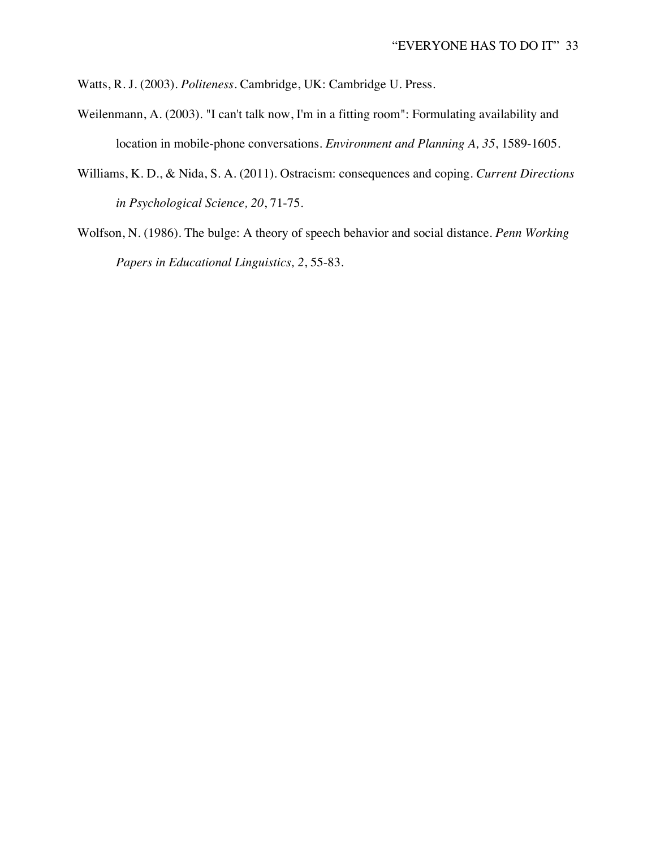Watts, R. J. (2003). *Politeness*. Cambridge, UK: Cambridge U. Press.

- Weilenmann, A. (2003). "I can't talk now, I'm in a fitting room": Formulating availability and location in mobile-phone conversations. *Environment and Planning A, 35*, 1589-1605.
- Williams, K. D., & Nida, S. A. (2011). Ostracism: consequences and coping. *Current Directions in Psychological Science, 20*, 71-75.
- Wolfson, N. (1986). The bulge: A theory of speech behavior and social distance. *Penn Working Papers in Educational Linguistics, 2*, 55-83.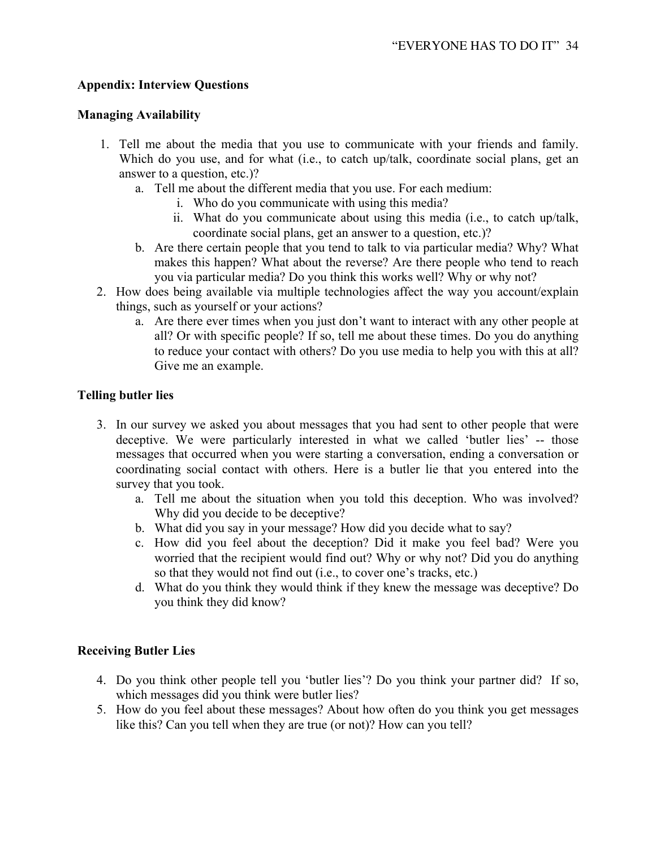# **Appendix: Interview Questions**

# **Managing Availability**

- 1. Tell me about the media that you use to communicate with your friends and family. Which do you use, and for what (i.e., to catch up/talk, coordinate social plans, get an answer to a question, etc.)?
	- a. Tell me about the different media that you use. For each medium:
		- i. Who do you communicate with using this media?
		- ii. What do you communicate about using this media (i.e., to catch up/talk, coordinate social plans, get an answer to a question, etc.)?
	- b. Are there certain people that you tend to talk to via particular media? Why? What makes this happen? What about the reverse? Are there people who tend to reach you via particular media? Do you think this works well? Why or why not?
- 2. How does being available via multiple technologies affect the way you account/explain things, such as yourself or your actions?
	- a. Are there ever times when you just don't want to interact with any other people at all? Or with specific people? If so, tell me about these times. Do you do anything to reduce your contact with others? Do you use media to help you with this at all? Give me an example.

# **Telling butler lies**

- 3. In our survey we asked you about messages that you had sent to other people that were deceptive. We were particularly interested in what we called 'butler lies' -- those messages that occurred when you were starting a conversation, ending a conversation or coordinating social contact with others. Here is a butler lie that you entered into the survey that you took.
	- a. Tell me about the situation when you told this deception. Who was involved? Why did you decide to be deceptive?
	- b. What did you say in your message? How did you decide what to say?
	- c. How did you feel about the deception? Did it make you feel bad? Were you worried that the recipient would find out? Why or why not? Did you do anything so that they would not find out (i.e., to cover one's tracks, etc.)
	- d. What do you think they would think if they knew the message was deceptive? Do you think they did know?

# **Receiving Butler Lies**

- 4. Do you think other people tell you 'butler lies'? Do you think your partner did? If so, which messages did you think were butler lies?
- 5. How do you feel about these messages? About how often do you think you get messages like this? Can you tell when they are true (or not)? How can you tell?